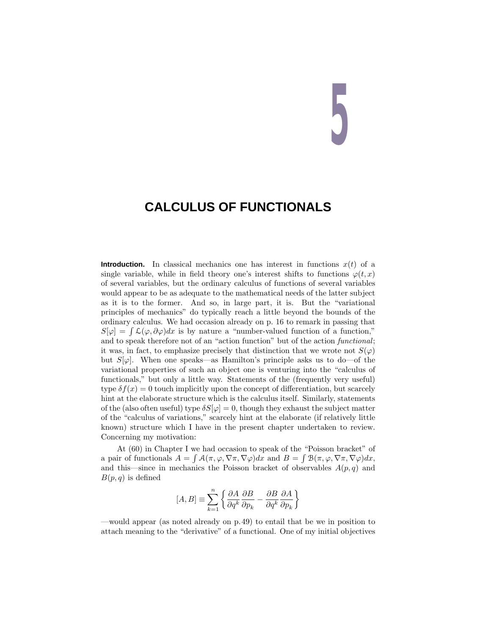# **5**

## **CALCULUS OF FUNCTIONALS**

**Introduction.** In classical mechanics one has interest in functions  $x(t)$  of a single variable, while in field theory one's interest shifts to functions  $\varphi(t, x)$ of several variables, but the ordinary calculus of functions of several variables would appear to be as adequate to the mathematical needs of the latter subject as it is to the former. And so, in large part, it is. But the "variational principles of mechanics" do typically reach a little beyond the bounds of the ordinary calculus. We had occasion already on p. 16 to remark in passing that  $S[\varphi] = \int \mathcal{L}(\varphi, \partial \varphi) dx$  is by nature a "number-valued function of a function," and to speak therefore not of an "action function" but of the action functional; it was, in fact, to emphasize precisely that distinction that we wrote not  $S(\varphi)$ but  $S[\varphi]$ . When one speaks—as Hamilton's principle asks us to do—of the variational properties of such an object one is venturing into the "calculus of functionals," but only a little way. Statements of the (frequently very useful) type  $\delta f(x) = 0$  touch implicitly upon the concept of differentiation, but scarcely hint at the elaborate structure which is the calculus itself. Similarly, statements of the (also often useful) type  $\delta S[\varphi] = 0$ , though they exhaust the subject matter of the "calculus of variations," scarcely hint at the elaborate (if relatively little known) structure which I have in the present chapter undertaken to review. Concerning my motivation:

At (60) in Chapter I we had occasion to speak of the "Poisson bracket" of a pair of functionals  $A = \int \mathcal{A}(\pi, \varphi, \nabla \pi, \nabla \varphi) dx$  and  $B = \int \mathcal{B}(\pi, \varphi, \nabla \pi, \nabla \varphi) dx$ , and this—since in mechanics the Poisson bracket of observables  $A(p, q)$  and  $B(p,q)$  is defined

$$
[A,B]\equiv\sum_{k=1}^n\left\{\frac{\partial A}{\partial q^k}\frac{\partial B}{\partial p_k}-\frac{\partial B}{\partial q^k}\frac{\partial A}{\partial p_k}\right\}
$$

—would appear (as noted already on p.49) to entail that be we in position to attach meaning to the "derivative" of a functional. One of my initial objectives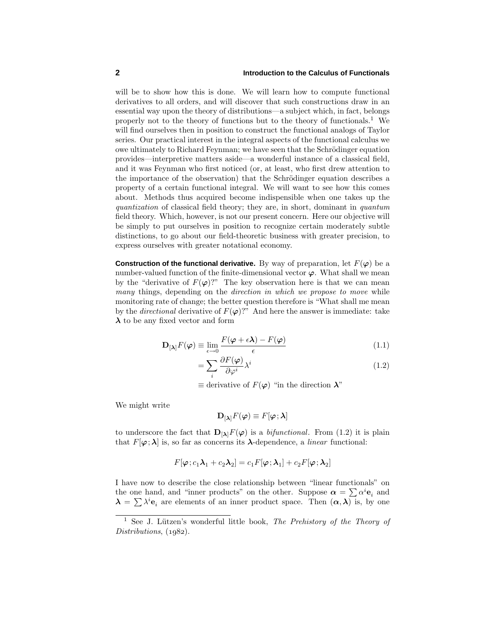will be to show how this is done. We will learn how to compute functional derivatives to all orders, and will discover that such constructions draw in an essential way upon the theory of distributions—a subject which, in fact, belongs properly not to the theory of functions but to the theory of functionals.<sup>1</sup> We will find ourselves then in position to construct the functional analogs of Taylor series. Our practical interest in the integral aspects of the functional calculus we owe ultimately to Richard Feynman; we have seen that the Schrödinger equation provides—interpretive matters aside—a wonderful instance of a classical field, and it was Feynman who first noticed (or, at least, who first drew attention to the importance of the observation) that the Schrödinger equation describes a property of a certain functional integral. We will want to see how this comes about. Methods thus acquired become indispensible when one takes up the quantization of classical field theory; they are, in short, dominant in quantum field theory. Which, however, is not our present concern. Here our objective will be simply to put ourselves in position to recognize certain moderately subtle distinctions, to go about our field-theoretic business with greater precision, to express ourselves with greater notational economy.

**Construction of the functional derivative.** By way of preparation, let  $F(\varphi)$  be a number-valued function of the finite-dimensional vector  $\varphi$ . What shall we mean by the "derivative of  $F(\varphi)$ ?" The key observation here is that we can mean many things, depending on the *direction in which we propose to move* while monitoring rate of change; the better question therefore is "What shall me mean by the *directional* derivative of  $F(\varphi)$ ?" And here the answer is immediate: take  $\lambda$  to be any fixed vector and form

$$
\mathbf{D}_{[\lambda]}F(\varphi) \equiv \lim_{\epsilon \to 0} \frac{F(\varphi + \epsilon \lambda) - F(\varphi)}{\epsilon} \tag{1.1}
$$

$$
=\sum_{i}\frac{\partial F(\varphi)}{\partial \varphi^{i}}\lambda^{i}
$$
\n(1.2)

 $\equiv$  derivative of  $F(\varphi)$  "in the direction  $\lambda$ "

We might write

$$
\mathbf{D}_{[\boldsymbol{\lambda}]}F(\boldsymbol{\varphi})\equiv F[\boldsymbol{\varphi};\boldsymbol{\lambda}]
$$

to underscore the fact that  $\mathbf{D}_{[\lambda]}F(\varphi)$  is a *bifunctional*. From (1.2) it is plain that  $F[\varphi; \lambda]$  is, so far as concerns its  $\lambda$ -dependence, a *linear* functional:

$$
F[\pmb{\varphi};c_1\pmb{\lambda}_1+c_2\pmb{\lambda}_2]=c_1F[\pmb{\varphi};\pmb{\lambda}_1]+c_2F[\pmb{\varphi};\pmb{\lambda}_2]
$$

I have now to describe the close relationship between "linear functionals" on the one hand, and "inner products" on the other. Suppose  $\alpha = \sum \alpha^i \mathbf{e}_i$  and  $\lambda = \sum \lambda^i e_i$  are elements of an inner product space. Then  $(\alpha, \lambda)$  is, by one

<sup>&</sup>lt;sup>1</sup> See J. Lützen's wonderful little book, The Prehistory of the Theory of Distributions,  $(1982)$ .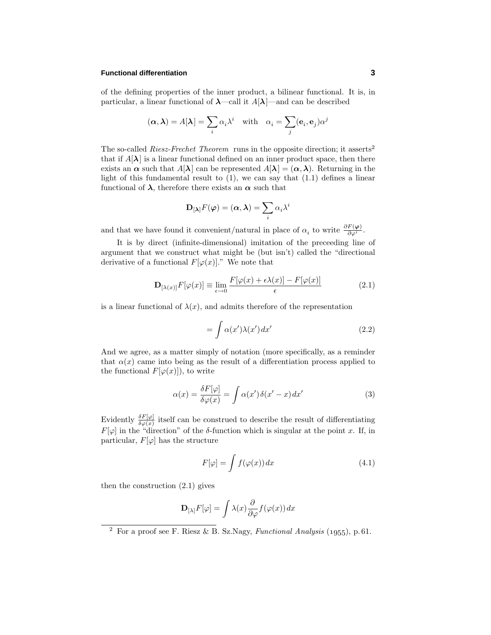### **Functional differentiation 3**

of the defining properties of the inner product, a bilinear functional. It is, in particular, a linear functional of  $\lambda$ —call it  $A[\lambda]$ —and can be described

$$
(\alpha, \lambda) = A[\lambda] = \sum_{i} \alpha_i \lambda^i
$$
 with  $\alpha_i = \sum_{j} (\mathbf{e}_i, \mathbf{e}_j) \alpha^j$ 

The so-called Riesz-Frechet Theorem runs in the opposite direction; it asserts<sup>2</sup> that if  $A[\lambda]$  is a linear functional defined on an inner product space, then there exists an  $\alpha$  such that  $A[\lambda]$  can be represented  $A[\lambda] = (\alpha, \lambda)$ . Returning in the light of this fundamental result to  $(1)$ , we can say that  $(1.1)$  defines a linear functional of  $\lambda$ , therefore there exists an  $\alpha$  such that

$$
\mathbf{D}_{[\boldsymbol{\lambda}]}F(\boldsymbol{\varphi})=(\boldsymbol{\alpha},\boldsymbol{\lambda})=\sum_i\alpha_i\lambda^i
$$

and that we have found it convenient/natural in place of  $\alpha_i$  to write  $\frac{\partial F(\varphi)}{\partial \varphi^i}$ .

It is by direct (infinite-dimensional) imitation of the preceeding line of argument that we construct what might be (but isn't) called the "directional derivative of a functional  $F[\varphi(x)]$ ." We note that

$$
\mathbf{D}_{[\lambda(x)]} F[\varphi(x)] \equiv \lim_{\epsilon \to 0} \frac{F[\varphi(x) + \epsilon \lambda(x)] - F[\varphi(x)]}{\epsilon} \tag{2.1}
$$

is a linear functional of  $\lambda(x)$ , and admits therefore of the representation

$$
= \int \alpha(x')\lambda(x') dx' \tag{2.2}
$$

And we agree, as a matter simply of notation (more specifically, as a reminder that  $\alpha(x)$  came into being as the result of a differentiation process applied to the functional  $F[\varphi(x)]$ , to write

$$
\alpha(x) = \frac{\delta F[\varphi]}{\delta \varphi(x)} = \int \alpha(x') \delta(x' - x) dx'
$$
\n(3)

Evidently  $\frac{\delta F[\varphi]}{\delta \varphi(x)}$  itself can be construed to describe the result of differentiating  $F[\varphi]$  in the "direction" of the *δ*-function which is singular at the point *x*. If, in particular,  $F[\varphi]$  has the structure

$$
F[\varphi] = \int f(\varphi(x)) dx \tag{4.1}
$$

then the construction (2.1) gives

$$
\mathbf{D}_{[\lambda]}F[\varphi] = \int \lambda(x) \frac{\partial}{\partial \varphi} f(\varphi(x)) dx
$$

<sup>&</sup>lt;sup>2</sup> For a proof see F. Riesz & B. Sz.Nagy, *Functional Analysis* (1955), p.61.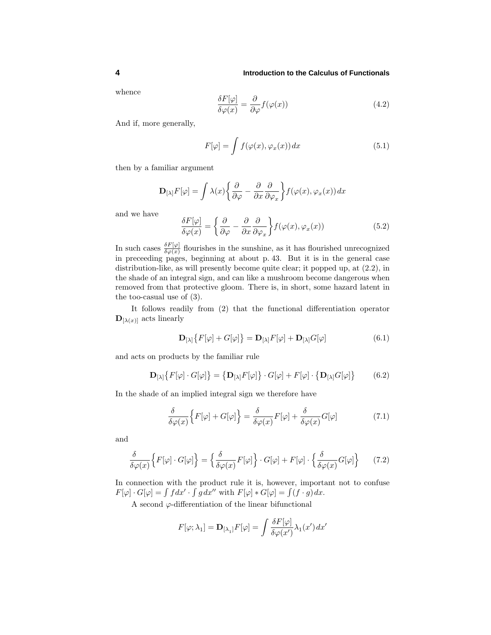whence

$$
\frac{\delta F[\varphi]}{\delta \varphi(x)} = \frac{\partial}{\partial \varphi} f(\varphi(x))\tag{4.2}
$$

And if, more generally,

$$
F[\varphi] = \int f(\varphi(x), \varphi_x(x)) dx \tag{5.1}
$$

then by a familiar argument

$$
\mathbf{D}_{[\lambda]}F[\varphi] = \int \lambda(x) \left\{ \frac{\partial}{\partial \varphi} - \frac{\partial}{\partial x} \frac{\partial}{\partial \varphi_x} \right\} f(\varphi(x), \varphi_x(x)) dx
$$

and we have

$$
\frac{\delta F[\varphi]}{\delta \varphi(x)} = \left\{ \frac{\partial}{\partial \varphi} - \frac{\partial}{\partial x} \frac{\partial}{\partial \varphi_x} \right\} f(\varphi(x), \varphi_x(x)) \tag{5.2}
$$

In such cases  $\frac{\delta F[\varphi]}{\delta \varphi(x)}$  flourishes in the sunshine, as it has flourished unrecognized in preceeding pages, beginning at about p. 43. But it is in the general case distribution-like, as will presently become quite clear; it popped up, at (2.2), in the shade of an integral sign, and can like a mushroom become dangerous when removed from that protective gloom. There is, in short, some hazard latent in the too-casual use of (3).

It follows readily from (2) that the functional differentiation operator  $\mathbf{D}_{[\lambda(x)]}$  acts linearly

$$
\mathbf{D}_{[\lambda]}\big\{F[\varphi] + G[\varphi]\big\} = \mathbf{D}_{[\lambda]}F[\varphi] + \mathbf{D}_{[\lambda]}G[\varphi] \tag{6.1}
$$

and acts on products by the familiar rule

$$
\mathbf{D}_{[\lambda]}\big\{F[\varphi]\cdot G[\varphi]\big\} = \big\{\mathbf{D}_{[\lambda]}F[\varphi]\big\}\cdot G[\varphi] + F[\varphi]\cdot \big\{\mathbf{D}_{[\lambda]}G[\varphi]\big\} \tag{6.2}
$$

In the shade of an implied integral sign we therefore have

$$
\frac{\delta}{\delta\varphi(x)}\Big\{F[\varphi] + G[\varphi]\Big\} = \frac{\delta}{\delta\varphi(x)}F[\varphi] + \frac{\delta}{\delta\varphi(x)}G[\varphi] \tag{7.1}
$$

and

$$
\frac{\delta}{\delta\varphi(x)} \Big\{ F[\varphi] \cdot G[\varphi] \Big\} = \Big\{ \frac{\delta}{\delta\varphi(x)} F[\varphi] \Big\} \cdot G[\varphi] + F[\varphi] \cdot \Big\{ \frac{\delta}{\delta\varphi(x)} G[\varphi] \Big\} \tag{7.2}
$$

In connection with the product rule it is, however, important not to confuse  $F[\varphi] \cdot G[\varphi] = \int f dx' \cdot \int g dx''$  with  $F[\varphi] * G[\varphi] = \int (f \cdot g) dx$ .

A second  $\varphi$ -differentiation of the linear bifunctional

$$
F[\varphi; \lambda_1] = \mathbf{D}_{[\lambda_1]} F[\varphi] = \int \frac{\delta F[\varphi]}{\delta \varphi(x')} \lambda_1(x') dx'
$$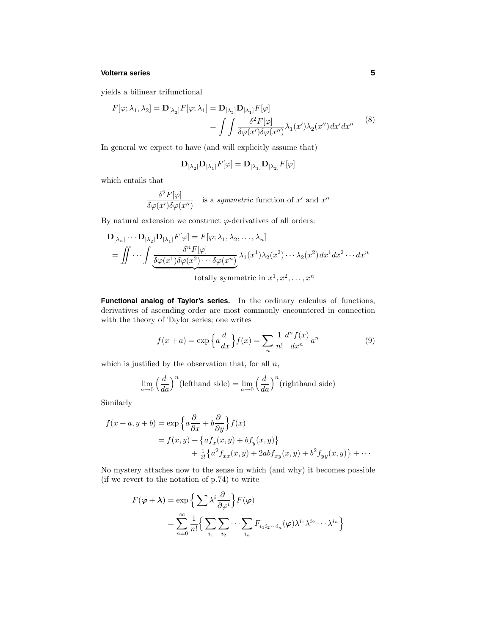### **Volterra series 5**

yields a bilinear trifunctional

$$
F[\varphi; \lambda_1, \lambda_2] = \mathbf{D}_{[\lambda_2]} F[\varphi; \lambda_1] = \mathbf{D}_{[\lambda_2]} \mathbf{D}_{[\lambda_1]} F[\varphi]
$$
  
= 
$$
\int \int \frac{\delta^2 F[\varphi]}{\delta \varphi(x') \delta \varphi(x'')} \lambda_1(x') \lambda_2(x'') dx' dx''
$$
 (8)

In general we expect to have (and will explicitly assume that)

$$
\mathbf{D}_{[\lambda_2]}\mathbf{D}_{[\lambda_1]}F[\varphi] = \mathbf{D}_{[\lambda_1]}\mathbf{D}_{[\lambda_2]}F[\varphi]
$$

which entails that

$$
\frac{\delta^2 F[\varphi]}{\delta \varphi(x') \delta \varphi(x'')}
$$
 is a symmetric function of  $x'$  and  $x''$ 

By natural extension we construct  $\varphi$ -derivatives of all orders:

$$
\mathbf{D}_{[\lambda_n]} \cdots \mathbf{D}_{[\lambda_2]} \mathbf{D}_{[\lambda_1]} F[\varphi] = F[\varphi; \lambda_1, \lambda_2, \dots, \lambda_n]
$$
\n
$$
= \iint \cdots \int \underbrace{\frac{\delta^n F[\varphi]}{\delta \varphi(x^1) \delta \varphi(x^2) \cdots \delta \varphi(x^n)}}_{\text{totally symmetric in } x^1, x^2, \dots, x^n} \lambda_1(x^1) \lambda_2(x^2) \cdots \lambda_2(x^2) dx^1 dx^2 \cdots dx^n
$$

**Functional analog of Taylor's series.** In the ordinary calculus of functions, derivatives of ascending order are most commonly encountered in connection with the theory of Taylor series; one writes

$$
f(x+a) = \exp\left\{a\frac{d}{dx}\right\} f(x) = \sum_{n} \frac{1}{n!} \frac{d^n f(x)}{dx^n} a^n \tag{9}
$$

which is justified by the observation that, for all *n*,

$$
\lim_{a \to 0} \left(\frac{d}{da}\right)^n \text{(lefthand side)} = \lim_{a \to 0} \left(\frac{d}{da}\right)^n \text{(righthand side)}
$$

Similarly

$$
f(x+a, y+b) = \exp\left\{a\frac{\partial}{\partial x} + b\frac{\partial}{\partial y}\right\} f(x)
$$
  
=  $f(x, y) + \left\{af_x(x, y) + bf_y(x, y)\right\}$   
 $+ \frac{1}{2!} \left\{a^2 f_{xx}(x, y) + 2ab f_{xy}(x, y) + b^2 f_{yy}(x, y)\right\} + \cdots$ 

No mystery attaches now to the sense in which (and why) it becomes possible (if we revert to the notation of p.74) to write

$$
F(\varphi + \lambda) = \exp \left\{ \sum \lambda^i \frac{\partial}{\partial \varphi^i} \right\} F(\varphi)
$$
  
= 
$$
\sum_{n=0}^{\infty} \frac{1}{n!} \left\{ \sum_{i_1} \sum_{i_2} \cdots \sum_{i_n} F_{i_1 i_2 \cdots i_n}(\varphi) \lambda^{i_1} \lambda^{i_2} \cdots \lambda^{i_n} \right\}
$$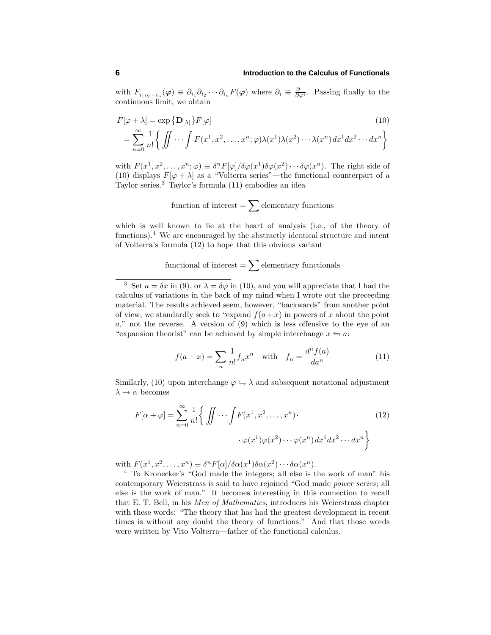with  $F_{i_1 i_2 \cdots i_n}(\varphi) \equiv \partial_{i_1} \partial_{i_2} \cdots \partial_{i_n} F(\varphi)$  where  $\partial_i \equiv \frac{\partial}{\partial \varphi^i}$ . Passing finally to the continuous limit, we obtain

$$
F[\varphi + \lambda] = \exp \{ \mathbf{D}_{[\lambda]} \} F[\varphi]
$$
\n
$$
= \sum_{n=0}^{\infty} \frac{1}{n!} \left\{ \iint \cdots \int F(x^1, x^2, \dots, x^n; \varphi) \lambda(x^1) \lambda(x^2) \cdots \lambda(x^n) dx^1 dx^2 \cdots dx^n \right\}
$$
\n(10)

with  $F(x^1, x^2, \ldots, x^n; \varphi) \equiv \delta^n F[\varphi] / \delta \varphi(x^1) \delta \varphi(x^2) \cdots \delta \varphi(x^n)$ . The right side of (10) displays  $F[\varphi + \lambda]$  as a "Volterra series"—the functional counterpart of a Taylor series.<sup>3</sup> Taylor's formula (11) embodies an idea

function of interest = 
$$
\sum
$$
 elementary functions

which is well known to lie at the heart of analysis (i.e., of the theory of functions).<sup>4</sup> We are encouraged by the abstractly identical structure and intent of Volterra's formula (12) to hope that this obvious variant

# functional of interest  $=$   $\sum$  elementary functionals

$$
f(a+x) = \sum_{n} \frac{1}{n!} f_n x^n \quad \text{with} \quad f_n = \frac{d^n f(a)}{da^n} \tag{11}
$$

Similarly, (10) upon interchange  $\varphi \Leftrightarrow \lambda$  and subsequent notational adjustment  $λ \rightarrow α$  becomes

$$
F[\alpha + \varphi] = \sum_{n=0}^{\infty} \frac{1}{n!} \left\{ \iint \cdots \int F(x^1, x^2, \dots, x^n) \cdot \varphi(x^1) \varphi(x^2) \cdots \varphi(x^n) dx^1 dx^2 \cdots dx^n \right\}
$$
(12)

with  $F(x^1, x^2, \ldots, x^n) \equiv \delta^n F[\alpha]/\delta \alpha(x^1) \delta \alpha(x^2) \cdots \delta \alpha(x^n)$ .

<sup>4</sup> To Kronecker's "God made the integers; all else is the work of man" his contemporary Weierstrass is said to have rejoined "God made power series; all else is the work of man." It becomes interesting in this connection to recall that E. T. Bell, in his Men of Mathematics, introduces his Weierstrass chapter with these words: "The theory that has had the greatest development in recent times is without any doubt the theory of functions." And that those words were written by Vito Volterra—father of the functional calculus.

<sup>&</sup>lt;sup>3</sup> Set  $a = \delta x$  in (9), or  $\lambda = \delta \varphi$  in (10), and you will appreciate that I had the calculus of variations in the back of my mind when I wrote out the preceeding material. The results achieved seem, however, "backwards" from another point of view; we standardly seek to "expand  $f(a+x)$  in powers of x about the point *a*," not the reverse. A version of (9) which is less offensive to the eye of an "expansion theorist" can be achieved by simple interchange  $x \leq a$ :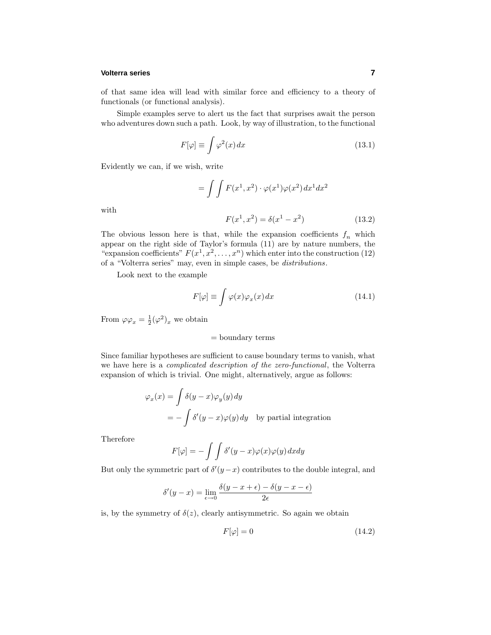### **Volterra series 7**

of that same idea will lead with similar force and efficiency to a theory of functionals (or functional analysis).

Simple examples serve to alert us the fact that surprises await the person who adventures down such a path. Look, by way of illustration, to the functional

$$
F[\varphi] \equiv \int \varphi^2(x) \, dx \tag{13.1}
$$

Evidently we can, if we wish, write

$$
= \int \int F(x^1, x^2) \cdot \varphi(x^1) \varphi(x^2) dx^1 dx^2
$$

$$
F(x^1, x^2) = \delta(x^1 - x^2) \tag{13.2}
$$

with

The obvious lesson here is that, while the expansion coefficients 
$$
f_n
$$
 which appear on the right side of Taylor's formula (11) are by nature numbers, the "expansion coefficients"  $F(x^1, x^2, ..., x^n)$  which enter into the construction (12) of a "Voltame series" may run any in simple cases, be *distributions*.

of a "Volterra series" may, even in simple cases, be distributions.

Look next to the example

$$
F[\varphi] \equiv \int \varphi(x)\varphi_x(x) \, dx \tag{14.1}
$$

From  $\varphi \varphi_x = \frac{1}{2} (\varphi^2)_x$  we obtain

### = boundary terms

Since familiar hypotheses are sufficient to cause boundary terms to vanish, what we have here is a *complicated description of the zero-functional*, the Volterra expansion of which is trivial. One might, alternatively, argue as follows:

$$
\varphi_x(x) = \int \delta(y - x) \varphi_y(y) dy
$$
  
=  $-\int \delta'(y - x) \varphi(y) dy$  by partial integration

Therefore

$$
F[\varphi] = -\int \int \delta'(y-x)\varphi(x)\varphi(y) \, dx \, dy
$$

But only the symmetric part of  $\delta'(y-x)$  contributes to the double integral, and

$$
\delta'(y-x) = \lim_{\epsilon \to 0} \frac{\delta(y-x+\epsilon) - \delta(y-x-\epsilon)}{2\epsilon}
$$

is, by the symmetry of  $\delta(z)$ , clearly antisymmetric. So again we obtain

$$
F[\varphi] = 0 \tag{14.2}
$$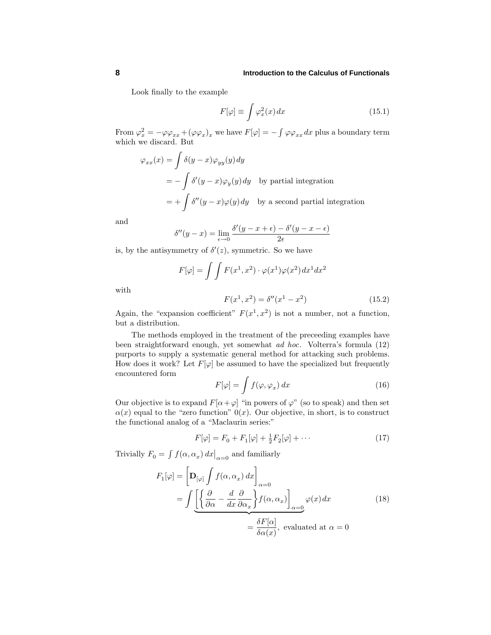Look finally to the example

$$
F[\varphi] \equiv \int \varphi_x^2(x) \, dx \tag{15.1}
$$

From  $\varphi_x^2 = -\varphi \varphi_{xx} + (\varphi \varphi_x)_x$  we have  $F[\varphi] = -\int \varphi \varphi_{xx} dx$  plus a boundary term which we discard. But

$$
\varphi_{xx}(x) = \int \delta(y - x) \varphi_{yy}(y) dy
$$
  
=  $-\int \delta'(y - x) \varphi_y(y) dy$  by partial integration  
=  $+\int \delta''(y - x) \varphi(y) dy$  by a second partial integration

and

$$
\delta''(y-x) = \lim_{\epsilon \to 0} \frac{\delta'(y-x+\epsilon) - \delta'(y-x-\epsilon)}{2\epsilon}
$$

is, by the antisymmetry of  $\delta'(z)$ , symmetric. So we have

$$
F[\varphi] = \int \int F(x^1, x^2) \cdot \varphi(x^1) \varphi(x^2) dx^1 dx^2
$$

with

$$
F(x^1, x^2) = \delta''(x^1 - x^2)
$$
 (15.2)

Again, the "expansion coefficient"  $F(x^1, x^2)$  is not a number, not a function, but a distribution.

The methods employed in the treatment of the preceeding examples have been straightforward enough, yet somewhat ad hoc. Volterra's formula (12) purports to supply a systematic general method for attacking such problems. How does it work? Let  $F[\varphi]$  be assumed to have the specialized but frequently encountered form

$$
F[\varphi] = \int f(\varphi, \varphi_x) dx \tag{16}
$$

Our objective is to expand  $F[\alpha + \varphi]$  "in powers of  $\varphi$ " (so to speak) and then set  $\alpha(x)$  equal to the "zero function"  $0(x)$ . Our objective, in short, is to construct the functional analog of a "Maclaurin series:"

$$
F[\varphi] = F_0 + F_1[\varphi] + \frac{1}{2}F_2[\varphi] + \cdots
$$
 (17)

Trivially  $F_0 = \int f(\alpha, \alpha_x) dx \big|_{\alpha=0}$  and familiarly

$$
F_1[\varphi] = \left[\mathbf{D}_{[\varphi]} \int f(\alpha, \alpha_x) dx\right]_{\alpha=0}
$$
  
= 
$$
\int \underbrace{\left[\left\{\frac{\partial}{\partial \alpha} - \frac{d}{dx} \frac{\partial}{\partial \alpha_x}\right\} f(\alpha, \alpha_x)\right]_{\alpha=0}}_{=\frac{\delta F[\alpha]}{\delta \alpha(x)}, \text{ evaluated at } \alpha = 0
$$
 (18)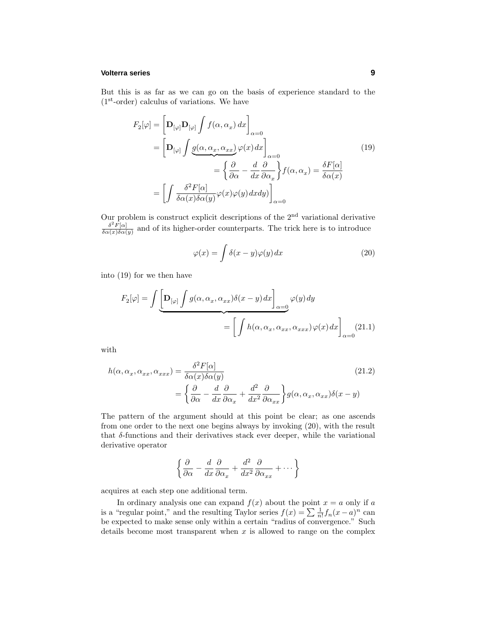### **Volterra series 9**

But this is as far as we can go on the basis of experience standard to the  $(1<sup>st</sup>-order)$  calculus of variations. We have

$$
F_2[\varphi] = \left[\mathbf{D}_{[\varphi]} \mathbf{D}_{[\varphi]} \int f(\alpha, \alpha_x) dx\right]_{\alpha=0}
$$
  
\n
$$
= \left[\mathbf{D}_{[\varphi]} \int \underbrace{g(\alpha, \alpha_x, \alpha_{xx})}_{\alpha=0} \varphi(x) dx\right]_{\alpha=0}
$$
  
\n
$$
= \left\{\frac{\partial}{\partial \alpha} - \frac{d}{dx} \frac{\partial}{\partial \alpha_x}\right\} f(\alpha, \alpha_x) = \frac{\delta F[\alpha]}{\delta \alpha(x)}
$$
  
\n
$$
= \left[\int \frac{\delta^2 F[\alpha]}{\delta \alpha(x) \delta \alpha(y)} \varphi(x) \varphi(y) dx dy\right]_{\alpha=0}
$$
\n(19)

Our problem is construct explicit descriptions of the  $2<sup>nd</sup>$  variational derivative  $\frac{\delta^2 F[\alpha]}{\delta \alpha(x) \delta \alpha(y)}$  and of its higher-order counterparts. The trick here is to introduce

$$
\varphi(x) = \int \delta(x - y)\varphi(y) dx \tag{20}
$$

into (19) for we then have

$$
F_2[\varphi] = \int \underbrace{\left[\mathbf{D}_{[\varphi]}\int g(\alpha, \alpha_x, \alpha_{xx})\delta(x-y) dx\right]}_{\varphi(\alpha)} \varphi(y) dy
$$

$$
= \left[\int h(\alpha, \alpha_x, \alpha_{xx}, \alpha_{xxx}) \varphi(x) dx\right]_{\alpha=0} (21.1)
$$

with

$$
h(\alpha, \alpha_x, \alpha_{xx}, \alpha_{xxx}) = \frac{\delta^2 F[\alpha]}{\delta \alpha(x) \delta \alpha(y)}
$$
  
= 
$$
\left\{ \frac{\partial}{\partial \alpha} - \frac{d}{dx} \frac{\partial}{\partial \alpha_x} + \frac{d^2}{dx^2} \frac{\partial}{\partial \alpha_{xx}} \right\} g(\alpha, \alpha_x, \alpha_{xx}) \delta(x - y)
$$
 (21.2)

The pattern of the argument should at this point be clear; as one ascends from one order to the next one begins always by invoking (20), with the result that  $\delta$ -functions and their derivatives stack ever deeper, while the variational derivative operator

$$
\left\{\frac{\partial}{\partial \alpha} - \frac{d}{dx}\frac{\partial}{\partial \alpha_x} + \frac{d^2}{dx^2}\frac{\partial}{\partial \alpha_{xx}} + \cdots \right\}
$$

acquires at each step one additional term.

In ordinary analysis one can expand  $f(x)$  about the point  $x = a$  only if  $a$ is a "regular point," and the resulting Taylor series  $f(x) = \sum_{n} \frac{1}{n!} f_n(x-a)^n$  can be expected to make sense only within a certain "radius of convergence." Such details become most transparent when *x* is allowed to range on the complex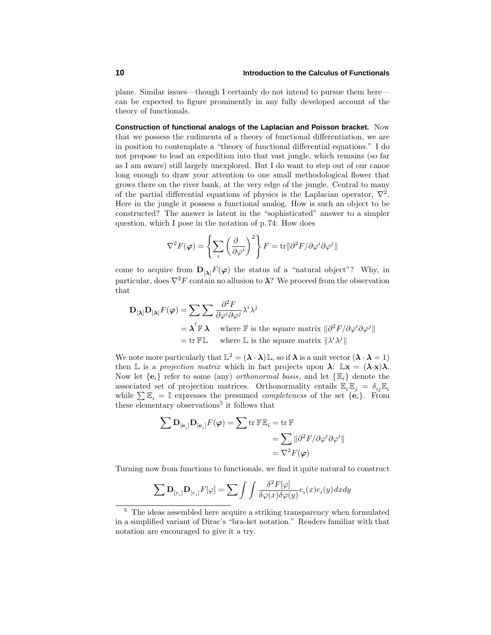plane. Similar issues—though I certainly do not intend to pursue them here can be expected to figure prominently in any fully developed account of the theory of functionals.

**Construction of functional analogs of the Laplacian and Poisson bracket.** Now that we possess the rudiments of a theory of functional differentiation, we are in position to contemplate a "theory of functional differential equations." I do not propose to lead an expedition into that vast jungle, which remains (so far as I am aware) still largely unexplored. But I do want to step out of our canoe long enough to draw your attention to one small methodological flower that grows there on the river bank, at the very edge of the jungle. Central to many of the partial differential equations of physics is the Laplacian operator,  $\nabla^2$ . Here in the jungle it possess a functional analog. How is such an object to be constructed? The answer is latent in the "sophisticated" answer to a simpler question, which I pose in the notation of p.74: How does

$$
\nabla^2 F(\varphi) = \left\{ \sum_i \left( \frac{\partial}{\partial \varphi^i} \right)^2 \right\} F = \text{tr} ||\partial^2 F / \partial \varphi^i \partial \varphi^j||
$$

come to acquire from  $\mathbf{D}_{[\lambda]} F(\varphi)$  the status of a "natural object"? Why, in particular, does  $\nabla^2 F$  contain no allusion to  $\lambda$ ? We proceed from the observation that

$$
\mathbf{D}_{[\lambda]} \mathbf{D}_{[\lambda]} F(\varphi) = \sum \sum \frac{\partial^2 F}{\partial \varphi^i \partial \varphi^j} \lambda^i \lambda^j
$$
  
=  $\lambda^{\mathsf{T}} \mathbb{F} \lambda$  where  $\mathbb{F}$  is the square matrix  $\|\partial^2 F / \partial \varphi^i \partial \varphi^j\|$   
= tr  $\mathbb{F} \mathbb{L}$  where  $\mathbb{L}$  is the square matrix  $\|\lambda^i \lambda^j\|$ 

We note more particularly that  $\mathbb{L}^2 = (\lambda \cdot \lambda) \mathbb{L}$ , so if  $\lambda$  is a unit vector  $(\lambda \cdot \lambda = 1)$ then L is a projection matrix which in fact projects upon  $\lambda$ :  $\mathbb{L} \mathbf{x} = (\lambda \cdot \mathbf{x})\lambda$ . Now let  $\{e_i\}$  refer to some (any) *orthonormal basis*, and let  $\{\mathbb{E}_i\}$  denote the associated set of projection matrices. Orthonormality entails  $\mathbb{E}_i \mathbb{E}_j = \delta_{ij} \mathbb{E}_i$ while  $\sum \mathbb{E}_i = \mathbb{I}$  expresses the presumed *completeness* of the set  $\{e_i\}$ . From these elementary observations<sup>5</sup> it follows that

$$
\sum \mathbf{D}_{\left[\mathbf{e}_{i}\right]} \mathbf{D}_{\left[\mathbf{e}_{i}\right]} F(\varphi) = \sum \operatorname{tr} \mathbb{F} \mathbb{E}_{i} = \operatorname{tr} \mathbb{F}
$$
\n
$$
= \sum ||\partial^{2} F / \partial \varphi^{i} \partial \varphi^{i}||
$$
\n
$$
= \nabla^{2} F(\varphi)
$$

Turning now from functions to functionals, we find it quite natural to construct

$$
\sum \mathbf{D}_{[e_i]} \mathbf{D}_{[e_i]} F[\varphi] = \sum \int \int \frac{\delta^2 F[\varphi]}{\delta \varphi(x) \delta \varphi(y)} e_i(x) e_i(y) dx dy
$$

<sup>5</sup> The ideas assembled here acquire a striking transparency when formulated in a simplified variant of Dirac's "bra-ket notation." Readers familiar with that notation are encouraged to give it a try.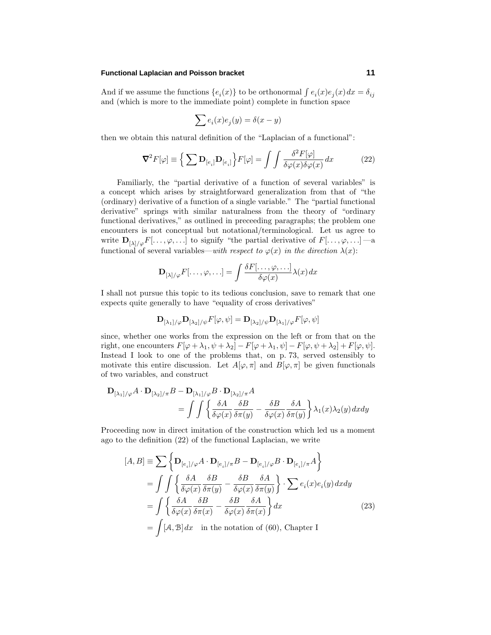### **Functional Laplacian and Poisson bracket 11**

And if we assume the functions  ${e_i(x)}$  to be orthonormal  $\int e_i(x)e_j(x) dx = \delta_{ij}$ and (which is more to the immediate point) complete in function space

$$
\sum e_i(x)e_j(y)=\delta(x-y)
$$

then we obtain this natural definition of the "Laplacian of a functional":

$$
\nabla^2 F[\varphi] \equiv \left\{ \sum \mathbf{D}_{[e_i]} \mathbf{D}_{[e_i]} \right\} F[\varphi] = \int \int \frac{\delta^2 F[\varphi]}{\delta \varphi(x) \delta \varphi(x)} dx \tag{22}
$$

Familiarly, the "partial derivative of a function of several variables" is a concept which arises by straightforward generalization from that of "the (ordinary) derivative of a function of a single variable." The "partial functional derivative" springs with similar naturalness from the theory of "ordinary functional derivatives," as outlined in preceeding paragraphs; the problem one encounters is not conceptual but notational/terminological. Let us agree to write  $\mathbf{D}_{[\lambda]/\varphi}F[\ldots,\varphi,\ldots]$  to signify "the partial derivative of  $F[\ldots,\varphi,\ldots]$  —a functional of several variables—with respect to  $\varphi(x)$  in the direction  $\lambda(x)$ :

$$
\mathbf{D}_{[\lambda]/\varphi}F[\ldots,\varphi,\ldots] = \int \frac{\delta F[\ldots,\varphi,\ldots]}{\delta \varphi(x)} \lambda(x) dx
$$

I shall not pursue this topic to its tedious conclusion, save to remark that one expects quite generally to have "equality of cross derivatives"

$$
\mathbf{D}_{[\lambda_1]/\varphi}\mathbf{D}_{[\lambda_2]/\psi}F[\varphi,\psi] = \mathbf{D}_{[\lambda_2]/\psi}\mathbf{D}_{[\lambda_1]/\varphi}F[\varphi,\psi]
$$

since, whether one works from the expression on the left or from that on the right, one encounters  $F[\varphi + \lambda_1, \psi + \lambda_2] - F[\varphi + \lambda_1, \psi] - F[\varphi, \psi + \lambda_2] + F[\varphi, \psi]$ . Instead I look to one of the problems that, on p. 73, served ostensibly to motivate this entire discussion. Let  $A[\varphi, \pi]$  and  $B[\varphi, \pi]$  be given functionals of two variables, and construct

$$
\mathbf{D}_{[\lambda_1]/\varphi} A \cdot \mathbf{D}_{[\lambda_2]/\pi} B - \mathbf{D}_{[\lambda_1]/\varphi} B \cdot \mathbf{D}_{[\lambda_2]/\pi} A
$$
  
= 
$$
\int \int \left\{ \frac{\delta A}{\delta \varphi(x)} \frac{\delta B}{\delta \pi(y)} - \frac{\delta B}{\delta \varphi(x)} \frac{\delta A}{\delta \pi(y)} \right\} \lambda_1(x) \lambda_2(y) dx dy
$$

Proceeding now in direct imitation of the construction which led us a moment ago to the definition (22) of the functional Laplacian, we write

$$
[A, B] \equiv \sum \left\{ \mathbf{D}_{[e_i]/\varphi} A \cdot \mathbf{D}_{[e_i]/\pi} B - \mathbf{D}_{[e_i]/\varphi} B \cdot \mathbf{D}_{[e_i]/\pi} A \right\}
$$
  
\n
$$
= \int \int \left\{ \frac{\delta A}{\delta \varphi(x)} \frac{\delta B}{\delta \pi(y)} - \frac{\delta B}{\delta \varphi(x)} \frac{\delta A}{\delta \pi(y)} \right\} \cdot \sum e_i(x) e_i(y) dx dy
$$
  
\n
$$
= \int \left\{ \frac{\delta A}{\delta \varphi(x)} \frac{\delta B}{\delta \pi(x)} - \frac{\delta B}{\delta \varphi(x)} \frac{\delta A}{\delta \pi(x)} \right\} dx
$$
 (23)  
\n
$$
= \int [A, B] dx \text{ in the notation of (60), Chapter I}
$$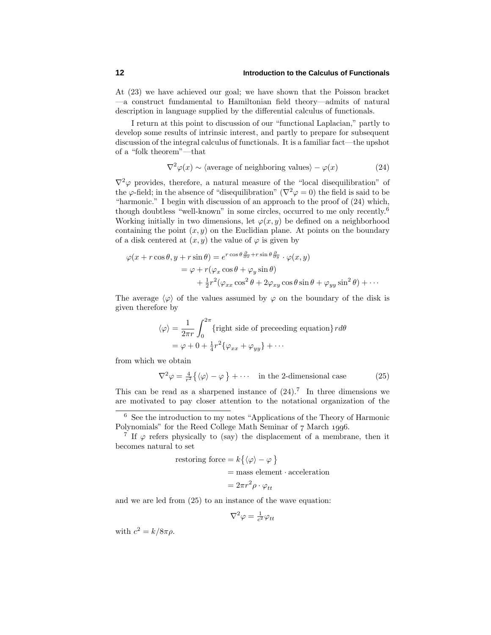At (23) we have achieved our goal; we have shown that the Poisson bracket —a construct fundamental to Hamiltonian field theory—admits of natural description in language supplied by the differential calculus of functionals.

I return at this point to discussion of our "functional Laplacian," partly to develop some results of intrinsic interest, and partly to prepare for subsequent discussion of the integral calculus of functionals. It is a familiar fact—the upshot of a "folk theorem"—that

$$
\nabla^2 \varphi(x) \sim \langle \text{average of neighboring values} \rangle - \varphi(x) \tag{24}
$$

 $\nabla^2 \varphi$  provides, therefore, a natural measure of the "local disequilibration" of the  $\varphi$ -field; in the absence of "disequilibration" ( $\nabla^2 \varphi = 0$ ) the field is said to be "harmonic." I begin with discussion of an approach to the proof of (24) which, though doubtless "well-known" in some circles, occurred to me only recently.<sup>6</sup> Working initially in two dimensions, let  $\varphi(x, y)$  be defined on a neighborhood containing the point  $(x, y)$  on the Euclidian plane. At points on the boundary of a disk centered at  $(x, y)$  the value of  $\varphi$  is given by

$$
\varphi(x + r\cos\theta, y + r\sin\theta) = e^{r\cos\theta \frac{\partial}{\partial x} + r\sin\theta \frac{\partial}{\partial y}} \cdot \varphi(x, y)
$$
  
=  $\varphi + r(\varphi_x \cos\theta + \varphi_y \sin\theta)$   
+  $\frac{1}{2}r^2(\varphi_{xx} \cos^2\theta + 2\varphi_{xy} \cos\theta \sin\theta + \varphi_{yy} \sin^2\theta) + \cdots$ 

The average  $\langle \varphi \rangle$  of the values assumed by  $\varphi$  on the boundary of the disk is given therefore by

$$
\langle \varphi \rangle = \frac{1}{2\pi r} \int_0^{2\pi} \{ \text{right side of preceding equation} \} r d\theta
$$

$$
= \varphi + 0 + \frac{1}{4} r^2 \{ \varphi_{xx} + \varphi_{yy} \} + \cdots
$$

from which we obtain

$$
\nabla^2 \varphi = \frac{4}{r^2} \{ \langle \varphi \rangle - \varphi \} + \cdots \quad \text{in the 2-dimensional case} \tag{25}
$$

This can be read as a sharpened instance of  $(24).7$  In three dimensions we are motivated to pay closer attention to the notational organization of the

restoring force = 
$$
k\{\langle \varphi \rangle - \varphi\}
$$
  
= mass element · acceleration  
=  $2\pi r^2 \rho \cdot \varphi_{tt}$ 

and we are led from (25) to an instance of the wave equation:

$$
\nabla^2 \varphi = \tfrac{1}{c^2} \varphi_{tt}
$$

with  $c^2 = k/8\pi\rho$ .

<sup>6</sup> See the introduction to my notes "Applications of the Theory of Harmonic Polynomials" for the Reed College Math Seminar of 7 March 1996.

<sup>&</sup>lt;sup>7</sup> If  $\varphi$  refers physically to (say) the displacement of a membrane, then it becomes natural to set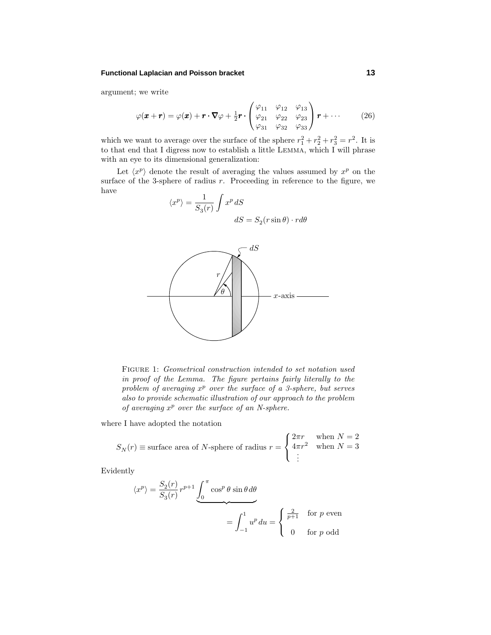### **Functional Laplacian and Poisson bracket 13**

argument; we write

$$
\varphi(\boldsymbol{x}+\boldsymbol{r})=\varphi(\boldsymbol{x})+\boldsymbol{r}\cdot\nabla\varphi+\frac{1}{2}\boldsymbol{r}\cdot\begin{pmatrix}\varphi_{11} & \varphi_{12} & \varphi_{13} \\ \varphi_{21} & \varphi_{22} & \varphi_{23} \\ \varphi_{31} & \varphi_{32} & \varphi_{33}\end{pmatrix}\boldsymbol{r}+\cdots
$$
 (26)

which we want to average over the surface of the sphere  $r_1^2 + r_2^2 + r_3^2 = r^2$ . It is to that end that I digress now to establish a little Lemma, which I will phrase with an eye to its dimensional generalization:

Let  $\langle x^p \rangle$  denote the result of averaging the values assumed by  $x^p$  on the surface of the 3-sphere of radius *r*. Proceeding in reference to the figure, we have

$$
\langle x^p \rangle = \frac{1}{S_3(r)} \int x^p \, dS
$$

$$
dS = S_2(r \sin \theta) \cdot r d\theta
$$



Figure 1: Geometrical construction intended to set notation used in proof of the Lemma. The figure pertains fairly literally to the problem of averaging  $x^p$  over the surface of a 3-sphere, but serves also to provide schematic illustration of our approach to the problem of averaging *x<sup>p</sup>* over the surface of an N-sphere.

where I have adopted the notation

$$
S_N(r) \equiv \text{surface area of } N\text{-sphere of radius } r = \begin{cases} 2\pi r & \text{when } N = 2 \\ 4\pi r^2 & \text{when } N = 3 \\ \vdots & \end{cases}
$$

Evidently

$$
\langle x^p \rangle = \frac{S_2(r)}{S_3(r)} r^{p+1} \underbrace{\int_0^{\pi} \cos^p \theta \sin \theta d\theta}_{\text{max}} = \int_{-1}^1 u^p du = \begin{cases} \frac{2}{p+1} & \text{for } p \text{ even} \\ 0 & \text{for } p \text{ odd} \end{cases}
$$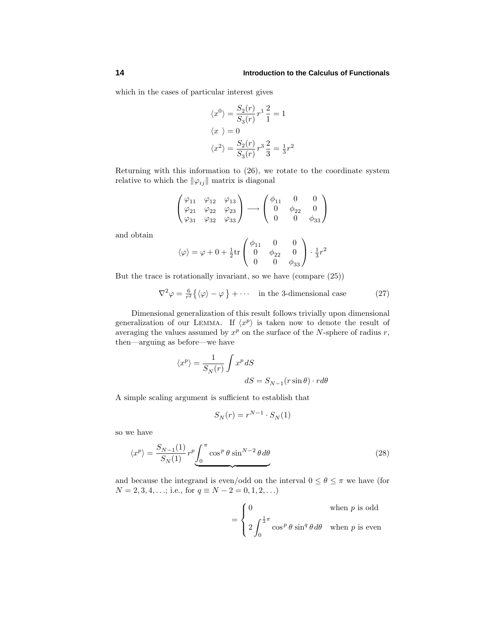which in the cases of particular interest gives

$$
\langle x^0 \rangle = \frac{S_2(r)}{S_3(r)} r^1 \frac{2}{1} = 1
$$
  

$$
\langle x \rangle = 0
$$
  

$$
\langle x^2 \rangle = \frac{S_2(r)}{S_3(r)} r^3 \frac{2}{3} = \frac{1}{3}r^2
$$

Returning with this information to (26), we rotate to the coordinate system relative to which the  $\|\varphi_{ij}\|$  matrix is diagonal

$$
\begin{pmatrix}\n\varphi_{11} & \varphi_{12} & \varphi_{13} \\
\varphi_{21} & \varphi_{22} & \varphi_{23} \\
\varphi_{31} & \varphi_{32} & \varphi_{33}\n\end{pmatrix}\n\longrightarrow\n\begin{pmatrix}\n\phi_{11} & 0 & 0 \\
0 & \phi_{22} & 0 \\
0 & 0 & \phi_{33}\n\end{pmatrix}
$$

and obtain

$$
\langle \varphi \rangle = \varphi + 0 + \frac{1}{2} \text{tr} \begin{pmatrix} \phi_{11} & 0 & 0 \\ 0 & \phi_{22} & 0 \\ 0 & 0 & \phi_{33} \end{pmatrix} \cdot \frac{1}{3} r^2
$$

But the trace is rotationally invariant, so we have (compare (25))

$$
\nabla^2 \varphi = \frac{6}{r^2} \{ \langle \varphi \rangle - \varphi \} + \cdots \quad \text{in the 3-dimensional case} \tag{27}
$$

Dimensional generalization of this result follows trivially upon dimensional generalization of our LEMMA. If  $\langle x^p \rangle$  is taken now to denote the result of averaging the values assumed by *x<sup>p</sup>* on the surface of the *N*-sphere of radius *r*, then—arguing as before—we have

$$
\langle x^p \rangle = \frac{1}{S_N(r)} \int x^p \, dS
$$

$$
dS = S_{N-1}(r \sin \theta) \cdot r d\theta
$$

Asimple scaling argument is sufficient to establish that

$$
S_N(r) = r^{N-1} \cdot S_N(1)
$$

so we have

$$
\langle x^p \rangle = \frac{S_{N-1}(1)}{S_N(1)} r^p \underbrace{\int_0^\pi \cos^p \theta \sin^{N-2} \theta \, d\theta}_{\text{(28)}}
$$

and because the integrand is even/odd on the interval  $0 \le \theta \le \pi$  we have (for  $N = 2, 3, 4, \ldots;$  i.e., for  $q \equiv N - 2 = 0, 1, 2, \ldots$ 

$$
= \begin{cases} 0 & \text{when } p \text{ is odd} \\ 2 \int_0^{\frac{1}{2}\pi} \cos^p \theta \sin^q \theta d\theta & \text{when } p \text{ is even} \end{cases}
$$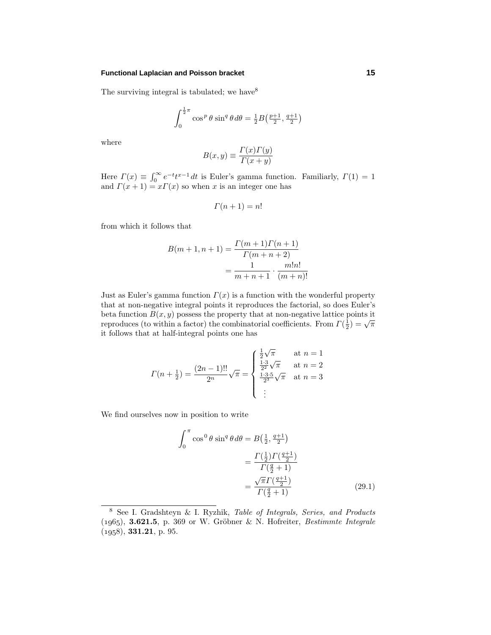### **Functional Laplacian and Poisson bracket 15**

The surviving integral is tabulated; we have  $8^8$ 

$$
\int_0^{\frac{1}{2}\pi} \cos^p \theta \sin^q \theta d\theta = \frac{1}{2}B\left(\frac{p+1}{2}, \frac{q+1}{2}\right)
$$

where

$$
B(x, y) \equiv \frac{\Gamma(x)\Gamma(y)}{\Gamma(x+y)}
$$

Here  $\Gamma(x) \equiv \int_0^\infty e^{-t} t^{x-1} dt$  is Euler's gamma function. Familiarly,  $\Gamma(1) = 1$ and  $\Gamma(x+1) = x\Gamma(x)$  so when *x* is an integer one has

$$
\Gamma(n+1) = n!
$$

from which it follows that

$$
B(m+1, n+1) = \frac{\Gamma(m+1)\Gamma(n+1)}{\Gamma(m+n+2)}
$$
  
= 
$$
\frac{1}{m+n+1} \cdot \frac{m!n!}{(m+n)!}
$$

Just as Euler's gamma function  $\Gamma(x)$  is a function with the wonderful property that at non-negative integral points it reproduces the factorial, so does Euler's beta function  $B(x, y)$  possess the property that at non-negative lattice points it reproduces (to within a factor) the combinatorial coefficients. From  $\Gamma(\frac{1}{2}) = \sqrt{\pi}$ it follows that at half-integral points one has

$$
\Gamma(n + \frac{1}{2}) = \frac{(2n - 1)!!}{2^n} \sqrt{\pi} = \begin{cases} \frac{\frac{1}{2}\sqrt{\pi}}{2^2} & \text{at } n = 1\\ \frac{1 \cdot 3}{2^2} \sqrt{\pi} & \text{at } n = 2\\ \frac{1 \cdot 3 \cdot 5}{2^3} \sqrt{\pi} & \text{at } n = 3 \end{cases}
$$

We find ourselves now in position to write

$$
\int_0^{\pi} \cos^0 \theta \sin^q \theta \, d\theta = B\left(\frac{1}{2}, \frac{q+1}{2}\right) \\
= \frac{\Gamma\left(\frac{1}{2}\right) \Gamma\left(\frac{q+1}{2}\right)}{\Gamma\left(\frac{q}{2}+1\right)} \\
= \frac{\sqrt{\pi} \Gamma\left(\frac{q+1}{2}\right)}{\Gamma\left(\frac{q}{2}+1\right)}\n\tag{29.1}
$$

<sup>8</sup> See I. Gradshteyn & I. Ryzhik, Table of Integrals, Series, and Products  $(1965)$ , **3.621.5**, p. 369 or W. Gröbner & N. Hofreiter, *Bestimmte Integrale* (), **331.21**, p. 95.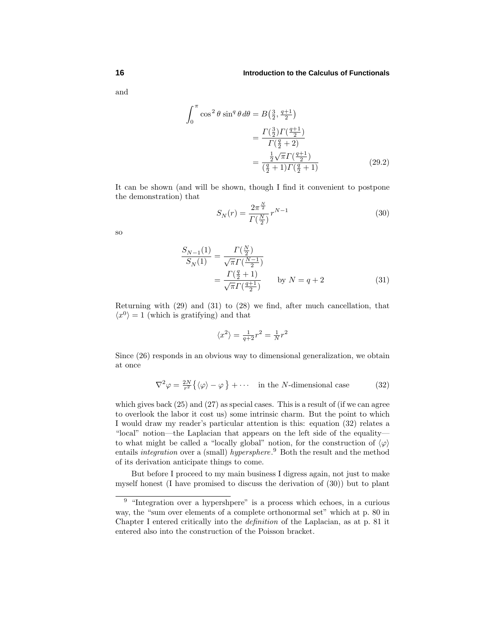and

$$
\int_0^{\pi} \cos^2 \theta \sin^q \theta d\theta = B\left(\frac{3}{2}, \frac{q+1}{2}\right)
$$

$$
= \frac{\Gamma(\frac{3}{2})\Gamma(\frac{q+1}{2})}{\Gamma(\frac{q}{2}+2)}
$$

$$
= \frac{\frac{1}{2}\sqrt{\pi}\Gamma(\frac{q+1}{2})}{(\frac{q}{2}+1)\Gamma(\frac{q}{2}+1)}
$$
(29.2)

It can be shown (and will be shown, though I find it convenient to postpone the demonstration) that

$$
S_N(r) = \frac{2\pi^{\frac{N}{2}}}{\Gamma(\frac{N}{2})} r^{N-1}
$$
\n(30)

so

$$
\frac{S_{N-1}(1)}{S_N(1)} = \frac{\Gamma(\frac{N}{2})}{\sqrt{\pi} \Gamma(\frac{N-1}{2})}
$$
\n
$$
= \frac{\Gamma(\frac{q}{2} + 1)}{\sqrt{\pi} \Gamma(\frac{q+1}{2})} \quad \text{by } N = q + 2 \tag{31}
$$

Returning with (29) and (31) to (28) we find, after much cancellation, that  $\langle x^0 \rangle = 1$  (which is gratifying) and that

$$
\langle x^2\rangle=\frac{1}{q+2}r^2=\frac{1}{N}r^2
$$

Since (26) responds in an obvious way to dimensional generalization, we obtain at once

$$
\nabla^2 \varphi = \frac{2N}{r^2} \{ \langle \varphi \rangle - \varphi \} + \cdots \quad \text{in the } N \text{-dimensional case} \tag{32}
$$

which gives back (25) and (27) as special cases. This is a result of (if we can agree to overlook the labor it cost us) some intrinsic charm. But the point to which I would draw my reader's particular attention is this: equation (32) relates a "local" notion—the Laplacian that appears on the left side of the equality to what might be called a "locally global" notion, for the construction of  $\langle \varphi \rangle$ entails *integration* over a (small) *hypersphere*.<sup>9</sup> Both the result and the method of its derivation anticipate things to come.

But before I proceed to my main business I digress again, not just to make myself honest (I have promised to discuss the derivation of (30)) but to plant

<sup>9</sup> "Integration over a hypershpere" is a process which echoes, in a curious way, the "sum over elements of a complete orthonormal set" which at p. 80 in Chapter I entered critically into the definition of the Laplacian, as at p. 81 it entered also into the construction of the Poisson bracket.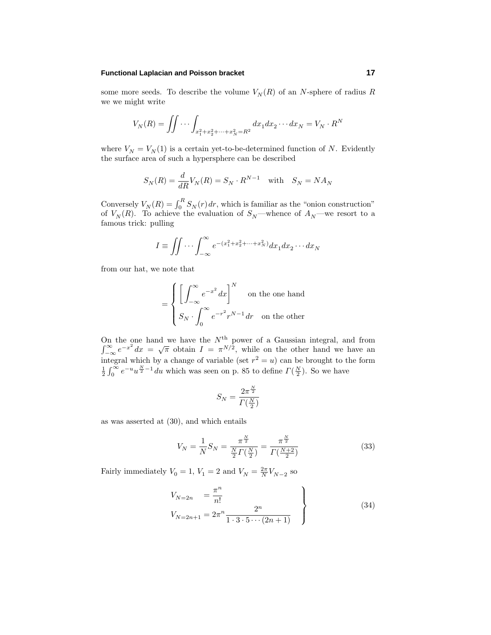### **Functional Laplacian and Poisson bracket 17**

some more seeds. To describe the volume  $V_N(R)$  of an *N*-sphere of radius *R* we we might write

$$
V_N(R) = \iint \cdots \int_{x_1^2 + x_2^2 + \cdots + x_N^2 = R^2} dx_1 dx_2 \cdots dx_N = V_N \cdot R^N
$$

where  $V_N = V_N(1)$  is a certain yet-to-be-determined function of *N*. Evidently the surface area of such a hypersphere can be described

$$
S_N(R) = \frac{d}{dR}V_N(R) = S_N \cdot R^{N-1} \quad \text{with} \quad S_N = NA_N
$$

Conversely  $V_N(R) = \int_0^R S_N(r) dr$ , which is familiar as the "onion construction" of  $V_N(R)$ . To achieve the evaluation of  $S_N$ —whence of  $A_N$ —we resort to a famous trick: pulling

$$
I \equiv \iint \cdots \int_{-\infty}^{\infty} e^{-(x_1^2 + x_2^2 + \cdots + x_N^2)} dx_1 dx_2 \cdots dx_N
$$

from our hat, we note that

$$
= \begin{cases} \left[ \int_{-\infty}^{\infty} e^{-x^2} dx \right]^N & \text{on the one hand} \\ S_N \cdot \int_0^{\infty} e^{-r^2} r^{N-1} dr & \text{on the other} \end{cases}
$$

On the one hand we have the *N*th On the one hand we have the  $N^{\text{th}}$  power of a Gaussian integral, and from  $\int_{-\infty}^{\infty} e^{-x^2} dx = \sqrt{\pi}$  obtain  $I = \pi^{N/2}$ , while on the other hand we have an  $\int_{-\infty}^{\infty} e^{-x^2} dx = \sqrt{\pi}$  obtain  $I = \pi^{N/2}$ , while on the other hand we have an integral which by a change of variable (set  $r^2 = u$ ) can be brought to the form  $\frac{1}{2} \int_0^\infty e^{-u} u^{\frac{N}{2}-1} du$  which was seen on p. 85 to define  $\Gamma(\frac{N}{2})$ . So we have

$$
S_N = \frac{2\pi^{\frac{N}{2}}}{\varGamma(\frac{N}{2})}
$$

as was asserted at (30), and which entails

$$
V_N = \frac{1}{N} S_N = \frac{\pi^{\frac{N}{2}}}{\frac{N}{2} \Gamma(\frac{N}{2})} = \frac{\pi^{\frac{N}{2}}}{\Gamma(\frac{N+2}{2})}
$$
(33)

Fairly immediately  $V_0 = 1$ ,  $V_1 = 2$  and  $V_N = \frac{2\pi}{N} V_{N-2}$  so

$$
V_{N=2n} = \frac{\pi^n}{n!}
$$
  
\n
$$
V_{N=2n+1} = 2\pi^n \frac{2^n}{1 \cdot 3 \cdot 5 \cdots (2n+1)}
$$
\n(34)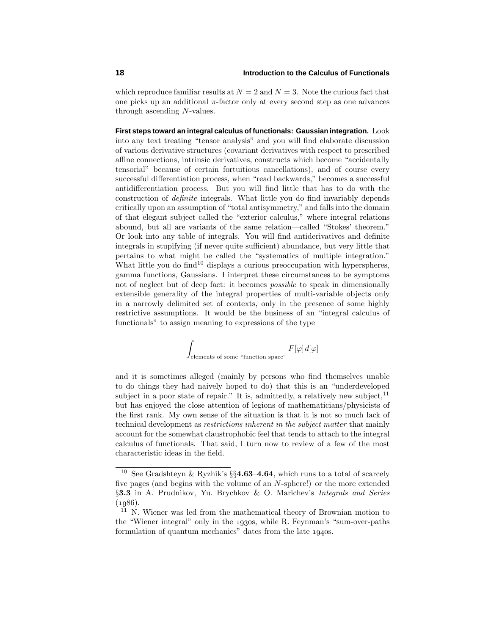which reproduce familiar results at  $N = 2$  and  $N = 3$ . Note the curious fact that one picks up an additional  $\pi$ -factor only at every second step as one advances through ascending *N*-values.

**First steps toward an integral calculus of functionals: Gaussian integration.** Look into any text treating "tensor analysis" and you will find elaborate discussion of various derivative structures (covariant derivatives with respect to prescribed affine connections, intrinsic derivatives, constructs which become "accidentally tensorial" because of certain fortuitious cancellations), and of course every successful differentiation process, when "read backwards," becomes a successful antidifferentiation process. But you will find little that has to do with the construction of definite integrals. What little you do find invariably depends critically upon an assumption of "total antisymmetry," and falls into the domain of that elegant subject called the "exterior calculus," where integral relations abound, but all are variants of the same relation—called "Stokes' theorem." Or look into any table of integrals. You will find antiderivatives and definite integrals in stupifying (if never quite sufficient) abundance, but very little that pertains to what might be called the "systematics of multiple integration." What little you do find<sup>10</sup> displays a curious preoccupation with hyperspheres, gamma functions, Gaussians. I interpret these circumstances to be symptoms not of neglect but of deep fact: it becomes possible to speak in dimensionally extensible generality of the integral properties of multi-variable objects only in a narrowly delimited set of contexts, only in the presence of some highly restrictive assumptions. It would be the business of an "integral calculus of functionals" to assign meaning to expressions of the type

 $\overline{\phantom{a}}$ elements of some "function space"  $F[\varphi]d[\varphi]$ 

and it is sometimes alleged (mainly by persons who find themselves unable to do things they had naively hoped to do) that this is an "underdeveloped subject in a poor state of repair." It is, admittedly, a relatively new subject,  $11$ but has enjoyed the close attention of legions of mathematicians/physicists of the first rank. My own sense of the situation is that it is not so much lack of technical development as restrictions inherent in the subject matter that mainly account for the somewhat claustrophobic feel that tends to attach to the integral calculus of functionals. That said, I turn now to review of a few of the most characteristic ideas in the field.

<sup>10</sup> See Gradshteyn & Ryzhik's §§**4.63**–**4.64**, which runs to a total of scarcely five pages (and begins with the volume of an *N*-sphere!) or the more extended §**3.3** in A. Prudnikov, Yu. Brychkov & O. Marichev's Integrals and Series  $(1986).$ 

<sup>&</sup>lt;sup>11</sup> N. Wiener was led from the mathematical theory of Brownian motion to the "Wiener integral" only in the 1930s, while R. Feynman's "sum-over-paths" formulation of quantum mechanics" dates from the late 1940s.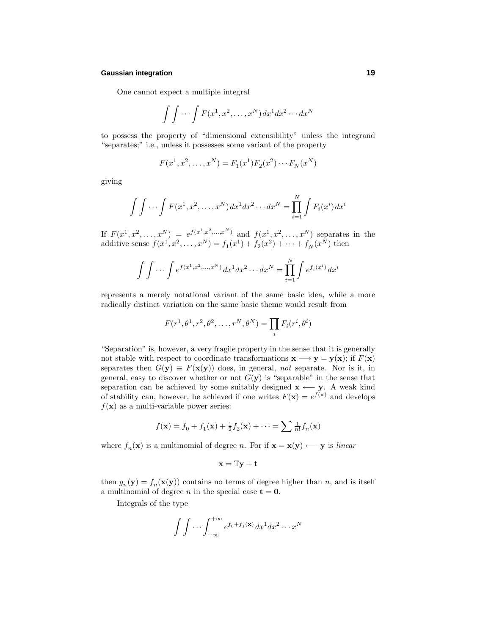### **Gaussian integration 19**

One cannot expect a multiple integral

$$
\int \int \cdots \int F(x^1, x^2, \dots, x^N) dx^1 dx^2 \cdots dx^N
$$

to possess the property of "dimensional extensibility" unless the integrand "separates;" i.e., unless it possesses some variant of the property

$$
F(x^1, x^2, \dots, x^N) = F_1(x^1) F_2(x^2) \cdots F_N(x^N)
$$

giving

$$
\int \int \cdots \int F(x^1, x^2, \dots, x^N) dx^1 dx^2 \cdots dx^N = \prod_{i=1}^N \int F_i(x^i) dx^i
$$

If  $F(x^1, x^2, \ldots, x^N) = e^{f(x^1, x^2, \ldots, x^N)}$  and  $f(x^1, x^2, \ldots, x^N)$  separates in the additive sense  $f(x^1, x^2, ..., x^N) = f_1(x^1) + f_2(x^2) + ... + f_N(x^N)$  then

$$
\int \int \cdots \int e^{f(x^1, x^2, \dots, x^N)} dx^1 dx^2 \cdots dx^N = \prod_{i=1}^N \int e^{f_i(x^i)} dx^i
$$

represents a merely notational variant of the same basic idea, while a more radically distinct variation on the same basic theme would result from

$$
F(r^1, \theta^1, r^2, \theta^2, \dots, r^N, \theta^N) = \prod_i F_i(r^i, \theta^i)
$$

"Separation" is, however, a very fragile property in the sense that it is generally not stable with respect to coordinate transformations  $\mathbf{x} \longrightarrow \mathbf{y} = \mathbf{y}(\mathbf{x})$ ; if  $F(\mathbf{x})$ separates then  $G(y) \equiv F(x(y))$  does, in general, not separate. Nor is it, in general, easy to discover whether or not  $G(y)$  is "separable" in the sense that separation can be achieved by some suitably designed  $\mathbf{x} \leftarrow \mathbf{y}$ . A weak kind of stability can, however, be achieved if one writes  $F(\mathbf{x}) = e^{f(\mathbf{x})}$  and develops  $f(\mathbf{x})$  as a multi-variable power series:

$$
f(\mathbf{x}) = f_0 + f_1(\mathbf{x}) + \frac{1}{2}f_2(\mathbf{x}) + \dots = \sum \frac{1}{n!}f_n(\mathbf{x})
$$

where  $f_n(\mathbf{x})$  is a multinomial of degree *n*. For if  $\mathbf{x} = \mathbf{x}(\mathbf{y}) \longleftarrow \mathbf{y}$  is linear

$$
\mathbf{x} = \mathbb{T}\mathbf{y} + \mathbf{t}
$$

then  $g_n(\mathbf{y}) = f_n(\mathbf{x}(\mathbf{y}))$  contains no terms of degree higher than *n*, and is itself a multinomial of degree *n* in the special case  $t = 0$ .

Integrals of the type

$$
\int \int \cdots \int_{-\infty}^{+\infty} e^{f_0 + f_1(\mathbf{x})} dx^1 dx^2 \cdots x^N
$$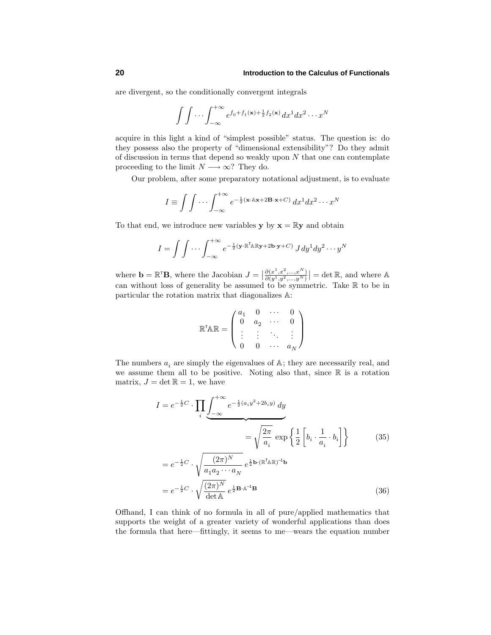are divergent, so the conditionally convergent integrals

$$
\int \int \cdots \int_{-\infty}^{+\infty} e^{f_0 + f_1(\mathbf{x}) + \frac{1}{2}f_2(\mathbf{x})} dx^1 dx^2 \cdots x^N
$$

acquire in this light a kind of "simplest possible" status. The question is: do they possess also the property of "dimensional extensibility"? Do they admit of discussion in terms that depend so weakly upon *N* that one can contemplate proceeding to the limit  $N \longrightarrow \infty$ ? They do.

Our problem, after some preparatory notational adjustment, is to evaluate

$$
I \equiv \int \int \cdots \int_{-\infty}^{+\infty} e^{-\frac{1}{2}(\mathbf{x} \cdot \mathbb{A} \mathbf{x} + 2\mathbf{B} \cdot \mathbf{x} + C)} dx^{1} dx^{2} \cdots x^{N}
$$

To that end, we introduce new variables **y** by  $\mathbf{x} = \mathbb{R}\mathbf{y}$  and obtain

$$
I = \int \int \cdots \int_{-\infty}^{+\infty} e^{-\frac{1}{2}(\mathbf{y} \cdot \mathbb{R}^{\mathsf{T}} \mathbb{A} \mathbb{R} \mathbf{y} + 2\mathbf{b} \cdot \mathbf{y} + C)} J dy^{1} dy^{2} \cdots y^{N}
$$

where  $\mathbf{b} = \mathbb{R}^{\mathsf{T}} \mathbf{B}$ , where the Jacobian  $J = \begin{bmatrix} 1 & 0 \\ 0 & 1 \end{bmatrix}$  $∂(x<sup>1</sup>,x<sup>2</sup>,...,x<sup>N</sup>)$  $\left. \frac{\partial (x^1, x^2, \ldots, x^N)}{\partial (y^1, y^2, \ldots, y^N)} \right| = \det \mathbb{R}$ , and where A can without loss of generality be assumed to be symmetric. Take  $\mathbb R$  to be in particular the rotation matrix that diagonalizes A:

$$
\mathbb{R}^\mathsf{T} \mathbb{A} \mathbb{R} = \left( \begin{matrix} a_1 & 0 & \cdots & 0 \\ 0 & a_2 & \cdots & 0 \\ \vdots & \vdots & \ddots & \vdots \\ 0 & 0 & \cdots & a_N \end{matrix} \right)
$$

The numbers  $a_i$  are simply the eigenvalues of  $A$ ; they are necessarily real, and we assume them all to be positive. Noting also that, since  $\mathbb R$  is a rotation matrix,  $J = \det \mathbb{R} = 1$ , we have

$$
I = e^{-\frac{1}{2}C} \cdot \prod_{i} \underbrace{\int_{-\infty}^{+\infty} e^{-\frac{1}{2}(a_i y^2 + 2b_i y)} dy}_{= \sqrt{\frac{2\pi}{a_i}} \exp\left\{\frac{1}{2} \left[b_i \cdot \frac{1}{a_i} \cdot b_i\right] \right\}} \tag{35}
$$

$$
= e^{-\frac{1}{2}C} \cdot \sqrt{\frac{(2\pi)^N}{a_1 a_2 \cdots a_N}} e^{\frac{1}{2} \mathbf{b} \cdot (\mathbb{R}^\mathsf{T} \mathbb{A} \mathbb{R})^{-1} \mathbf{b}}
$$

$$
= e^{-\frac{1}{2}C} \cdot \sqrt{\frac{(2\pi)^N}{\det \mathbb{A}}} e^{\frac{1}{2} \mathbf{B} \cdot \mathbb{A}^{-1} \mathbf{B}}
$$
(36)

Offhand, I can think of no formula in all of pure/applied mathematics that supports the weight of a greater variety of wonderful applications than does the formula that here—fittingly, it seems to me—wears the equation number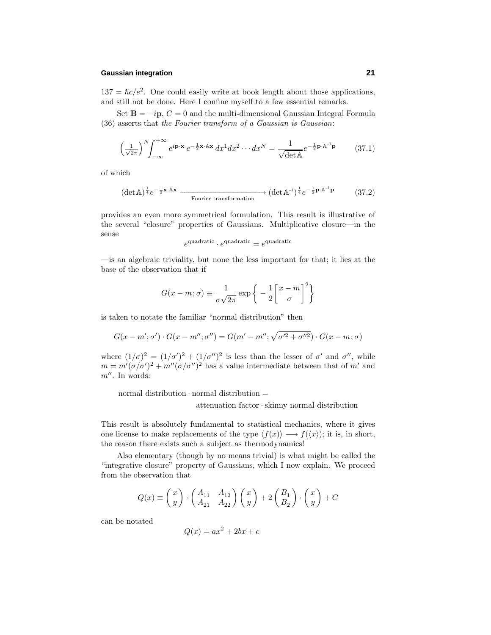### **Gaussian integration 21**

 $137 = \hbar c/e^2$ . One could easily write at book length about those applications, and still not be done. Here I confine myself to a few essential remarks.

Set  $\mathbf{B} = -i\mathbf{p}$ ,  $C = 0$  and the multi-dimensional Gaussian Integral Formula (36) asserts that the Fourier transform of a Gaussian is Gaussian:

$$
\left(\frac{1}{\sqrt{2\pi}}\right)^N \int_{-\infty}^{+\infty} e^{i\mathbf{p}\cdot\mathbf{x}} e^{-\frac{1}{2}\mathbf{x}\cdot\mathbb{A}\mathbf{x}} dx^1 dx^2 \cdots dx^N = \frac{1}{\sqrt{\det\mathbb{A}}} e^{-\frac{1}{2}\mathbf{p}\cdot\mathbb{A}^{-1}\mathbf{p}} \tag{37.1}
$$

of which

$$
(\det \mathbb{A})^{\frac{1}{4}} e^{-\frac{1}{2}\mathbf{x} \cdot \mathbb{A} \mathbf{x}} \xrightarrow{\text{Fourier transformation}} (\det \mathbb{A}^{-1})^{\frac{1}{4}} e^{-\frac{1}{2}\mathbf{p} \cdot \mathbb{A}^{-1} \mathbf{p}} \tag{37.2}
$$

provides an even more symmetrical formulation. This result is illustrative of the several "closure" properties of Gaussians. Multiplicative closure—in the sense

 $e^{\text{quadratic}} \cdot e^{\text{quadratic}} = e^{\text{quadratic}}$ 

—is an algebraic triviality, but none the less important for that; it lies at the base of the observation that if

$$
G(x - m; \sigma) \equiv \frac{1}{\sigma \sqrt{2\pi}} \exp \left\{-\frac{1}{2} \left[\frac{x - m}{\sigma}\right]^2\right\}
$$

is taken to notate the familiar "normal distribution" then

$$
G(x - m'; \sigma') \cdot G(x - m''; \sigma'') = G(m' - m''; \sqrt{\sigma'^2 + \sigma''^2}) \cdot G(x - m; \sigma)
$$

where  $(1/\sigma)^2 = (1/\sigma')^2 + (1/\sigma'')^2$  is less than the lesser of  $\sigma'$  and  $\sigma''$ , while  $m = m'(\sigma/\sigma')^2 + m''(\sigma/\sigma'')^2$  has a value intermediate between that of *m'* and  $m''$ . In words:

normal distribution  $\cdot$  normal distribution  $=$ 

attenuation factor · skinny normal distribution

This result is absolutely fundamental to statistical mechanics, where it gives one license to make replacements of the type  $\langle f(x) \rangle \longrightarrow f(\langle x \rangle)$ ; it is, in short, the reason there exists such a subject as thermodynamics!

Also elementary (though by no means trivial) is what might be called the "integrative closure" property of Gaussians, which I now explain. We proceed from the observation that

$$
Q(x) \equiv \begin{pmatrix} x \\ y \end{pmatrix} \cdot \begin{pmatrix} A_{11} & A_{12} \\ A_{21} & A_{22} \end{pmatrix} \begin{pmatrix} x \\ y \end{pmatrix} + 2 \begin{pmatrix} B_1 \\ B_2 \end{pmatrix} \cdot \begin{pmatrix} x \\ y \end{pmatrix} + C
$$

can be notated

$$
Q(x) = ax^2 + 2bx + c
$$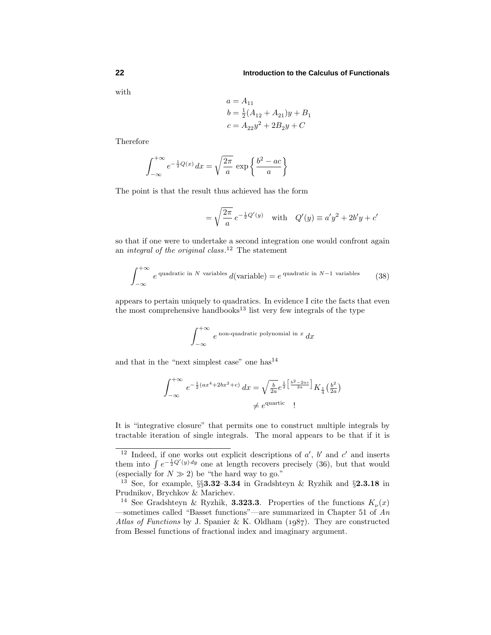with

$$
a = A_{11}
$$
  
\n
$$
b = \frac{1}{2}(A_{12} + A_{21})y + B_1
$$
  
\n
$$
c = A_{22}y^2 + 2B_2y + C
$$

Therefore

$$
\int_{-\infty}^{+\infty} e^{-\frac{1}{2}Q(x)} dx = \sqrt{\frac{2\pi}{a}} \exp\left\{\frac{b^2 - ac}{a}\right\}
$$

The point is that the result thus achieved has the form

$$
= \sqrt{\frac{2\pi}{a}} e^{-\frac{1}{2}Q'(y)} \text{ with } Q'(y) \equiv a'y^2 + 2b'y + c'
$$

so that if one were to undertake a second integration one would confront again an *integral of the original class*.<sup>12</sup> The statement

$$
\int_{-\infty}^{+\infty} e^{\text{ quadratic in } N \text{ variables}} d(\text{variable}) = e^{\text{ quadratic in } N-1 \text{ variables}} \qquad (38)
$$

appears to pertain uniquely to quadratics. In evidence I cite the facts that even the most comprehensive handbooks<sup>13</sup> list very few integrals of the type

$$
\int_{-\infty}^{+\infty} e^{\text{non-quadratic polynomial in } x} dx
$$

and that in the "next simplest case" one has $^{14}$ 

$$
\int_{-\infty}^{+\infty} e^{-\frac{1}{2}(ax^4 + 2bx^2 + c)} dx = \sqrt{\frac{b}{2a}} e^{\frac{1}{2} \left[ \frac{b^2 - 2ac}{2a} \right]} K_{\frac{1}{4} \left( \frac{b^2}{2a} \right)}
$$
  

$$
\neq e^{\text{quartic}}
$$

It is "integrative closure" that permits one to construct multiple integrals by tractable iteration of single integrals. The moral appears to be that if it is

<sup>&</sup>lt;sup>12</sup> Indeed, if one works out explicit descriptions of  $a'$ ,  $b'$  and  $c'$  and inserts them into  $\int e^{-\frac{1}{2}Q'(y)dy}$  one at length recovers precisely (36), but that would (especially for  $N \gg 2$ ) be "the hard way to go."

<sup>13</sup> See, for example, §§**3.32**–**3.34** in Gradshteyn & Ryzhik and §**2.3.18** in Prudnikov, Brychkov & Marichev.

<sup>&</sup>lt;sup>14</sup> See Gradshteyn & Ryzhik, **3.323.3**. Properties of the functions  $K_{\nu}(x)$ —sometimes called "Basset functions"—are summarized in Chapter 51 of  $An$ Atlas of Functions by J. Spanier & K. Oldham  $(1.087)$ . They are constructed from Bessel functions of fractional index and imaginary argument.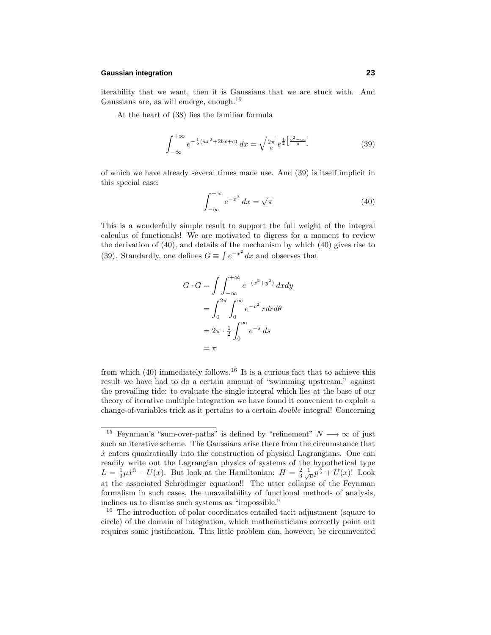### **Gaussian integration 23**

iterability that we want, then it is Gaussians that we are stuck with. And Gaussians are, as will emerge, enough.<sup>15</sup>

At the heart of (38) lies the familiar formula

$$
\int_{-\infty}^{+\infty} e^{-\frac{1}{2}(ax^2 + 2bx + c)} dx = \sqrt{\frac{2\pi}{a}} e^{\frac{1}{2} \left[ \frac{b^2 - ac}{a} \right]}
$$
 (39)

of which we have already several times made use. And (39) is itself implicit in this special case:

$$
\int_{-\infty}^{+\infty} e^{-x^2} dx = \sqrt{\pi}
$$
 (40)

This is a wonderfully simple result to support the full weight of the integral calculus of functionals! We are motivated to digress for a moment to review the derivation of (40), and details of the mechanism by which (40) gives rise to (39). Standardly, one defines  $G \equiv \int e^{-x^2} dx$  and observes that

$$
G \cdot G = \int \int_{-\infty}^{+\infty} e^{-(x^2 + y^2)} dx dy
$$

$$
= \int_{0}^{2\pi} \int_{0}^{\infty} e^{-r^2} r dr d\theta
$$

$$
= 2\pi \cdot \frac{1}{2} \int_{0}^{\infty} e^{-s} ds
$$

$$
= \pi
$$

from which  $(40)$  immediately follows.<sup>16</sup> It is a curious fact that to achieve this result we have had to do a certain amount of "swimming upstream," against the prevailing tide: to evaluate the single integral which lies at the base of our theory of iterative multiple integration we have found it convenient to exploit a change-of-variables trick as it pertains to a certain double integral! Concerning

<sup>&</sup>lt;sup>15</sup> Feynman's "sum-over-paths" is defined by "refinement"  $N \longrightarrow \infty$  of just such an iterative scheme. The Gaussians arise there from the circumstance that  $\dot{x}$  enters quadratically into the construction of physical Lagrangians. One can readily write out the Lagrangian physics of systems of the hypothetical type  $L = \frac{1}{3}\mu \dot{x}^3 - U(x)$ . But look at the Hamiltonian:  $H = \frac{2}{3} \frac{1}{\sqrt{\mu}} p^{\frac{3}{2}} + U(x)$ ! Look at the associated Schrödinger equation!! The utter collapse of the Feynman formalism in such cases, the unavailability of functional methods of analysis, inclines us to dismiss such systems as "impossible."

<sup>16</sup> The introduction of polar coordinates entailed tacit adjustment (square to circle) of the domain of integration, which mathematicians correctly point out requires some justification. This little problem can, however, be circumvented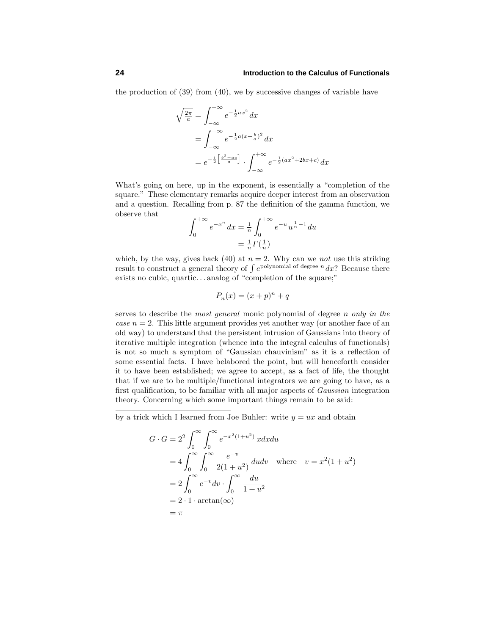the production of (39) from (40), we by successive changes of variable have

$$
\sqrt{\frac{2\pi}{a}} = \int_{-\infty}^{+\infty} e^{-\frac{1}{2}ax^2} dx
$$
  
= 
$$
\int_{-\infty}^{+\infty} e^{-\frac{1}{2}a(x+\frac{b}{a})^2} dx
$$
  
= 
$$
e^{-\frac{1}{2} \left[ \frac{b^2 - ac}{a} \right]} \cdot \int_{-\infty}^{+\infty} e^{-\frac{1}{2} (ax^2 + 2bx + c)} dx
$$

What's going on here, up in the exponent, is essentially a "completion of the square." These elementary remarks acquire deeper interest from an observation and a question. Recalling from p. 87 the definition of the gamma function, we observe that

$$
\int_0^{+\infty} e^{-x^n} dx = \frac{1}{n} \int_0^{+\infty} e^{-u} u^{\frac{1}{n}-1} du
$$
  
=  $\frac{1}{n} \Gamma(\frac{1}{n})$ 

which, by the way, gives back (40) at  $n = 2$ . Why can we not use this striking result to construct a general theory of  $\int e^{polynomial of degree n} dx$ ? Because there exists no cubic, quartic*...* analog of "completion of the square;"

$$
P_n(x) = (x+p)^n + q
$$

serves to describe the most general monic polynomial of degree *n* only in the *case*  $n = 2$ *.* This little argument provides yet another way (or another face of an old way) to understand that the persistent intrusion of Gaussians into theory of iterative multiple integration (whence into the integral calculus of functionals) is not so much a symptom of "Gaussian chauvinism" as it is a reflection of some essential facts. I have belabored the point, but will henceforth consider it to have been established; we agree to accept, as a fact of life, the thought that if we are to be multiple/functional integrators we are going to have, as a first qualification, to be familiar with all major aspects of Gaussian integration theory. Concerning which some important things remain to be said:

by a trick which I learned from Joe Buhler: write  $y = ux$  and obtain

$$
G \cdot G = 2^2 \int_0^\infty \int_0^\infty e^{-x^2(1+u^2)} x dx du
$$
  
=  $4 \int_0^\infty \int_0^\infty \frac{e^{-v}}{2(1+u^2)} du dv$  where  $v = x^2(1+u^2)$   
=  $2 \int_0^\infty e^{-v} dv \cdot \int_0^\infty \frac{du}{1+u^2}$   
=  $2 \cdot 1 \cdot \arctan(\infty)$   
=  $\pi$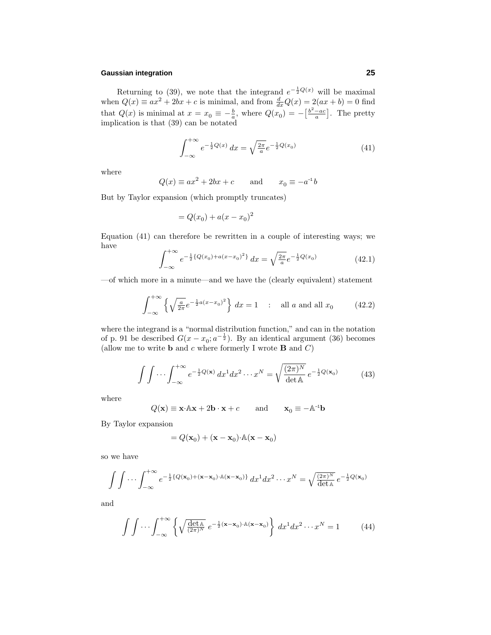### **Gaussian integration 25**

Returning to (39), we note that the integrand  $e^{-\frac{1}{2}Q(x)}$  will be maximal when  $Q(x) \equiv ax^2 + 2bx + c$  is minimal, and from  $\frac{d}{dx}Q(x) = 2(ax + b) = 0$  find that  $Q(x)$  is minimal at  $x = x_0 \equiv -\frac{b}{a}$ , where  $Q(x_0) = -\left[\frac{b^2 - ac}{a}\right]$ . The pretty implication is that (39) can be notated

$$
\int_{-\infty}^{+\infty} e^{-\frac{1}{2}Q(x)} dx = \sqrt{\frac{2\pi}{a}} e^{-\frac{1}{2}Q(x_0)}
$$
(41)

where

$$
Q(x) \equiv ax^2 + 2bx + c \quad \text{and} \quad x_0 \equiv -a^{-1}b
$$

But by Taylor expansion (which promptly truncates)

$$
= Q(x_0) + a(x-x_0)^2
$$

Equation (41) can therefore be rewritten in a couple of interesting ways; we have

$$
\int_{-\infty}^{+\infty} e^{-\frac{1}{2}\{Q(x_0) + a(x - x_0)^2\}} dx = \sqrt{\frac{2\pi}{a}} e^{-\frac{1}{2}Q(x_0)}
$$
(42.1)

—of which more in a minute—and we have the (clearly equivalent) statement

$$
\int_{-\infty}^{+\infty} \left\{ \sqrt{\frac{a}{2\pi}} e^{-\frac{1}{2}a(x-x_0)^2} \right\} dx = 1 \quad : \text{ all } a \text{ and all } x_0 \tag{42.2}
$$

where the integrand is a "normal distribution function," and can in the notation of p. 91 be described  $G(x - x_0; a^{-\frac{1}{2}})$ . By an identical argument (36) becomes (allow me to write **b** and *c* where formerly I wrote **B** and *C*)

$$
\int \int \cdots \int_{-\infty}^{+\infty} e^{-\frac{1}{2}Q(\mathbf{x})} dx^1 dx^2 \cdots x^N = \sqrt{\frac{(2\pi)^N}{\det \mathbb{A}}} e^{-\frac{1}{2}Q(\mathbf{x}_0)} \tag{43}
$$

where

$$
Q(\mathbf{x}) \equiv \mathbf{x} \cdot \mathbb{A} \mathbf{x} + 2 \mathbf{b} \cdot \mathbf{x} + c \quad \text{and} \quad \mathbf{x}_0 \equiv -\mathbb{A}^{-1} \mathbf{b}
$$

By Taylor expansion

$$
= Q(\mathbf{x}_0) + (\mathbf{x} - \mathbf{x}_0) \cdot \mathbb{A}(\mathbf{x} - \mathbf{x}_0)
$$

so we have

$$
\int \int \cdots \int_{-\infty}^{+\infty} e^{-\frac{1}{2}\{Q(\mathbf{x}_0) + (\mathbf{x} - \mathbf{x}_0) \cdot \mathbb{A}(\mathbf{x} - \mathbf{x}_0)\}} dx^1 dx^2 \cdots x^N = \sqrt{\frac{(2\pi)^N}{\det \mathbb{A}}} e^{-\frac{1}{2}Q(\mathbf{x}_0)}
$$

and

$$
\int \int \cdots \int_{-\infty}^{+\infty} \left\{ \sqrt{\frac{\det \mathbb{A}}{(2\pi)^N}} e^{-\frac{1}{2} (\mathbf{x} - \mathbf{x}_0) \cdot \mathbb{A} (\mathbf{x} - \mathbf{x}_0)} \right\} dx^1 dx^2 \cdots x^N = 1 \quad (44)
$$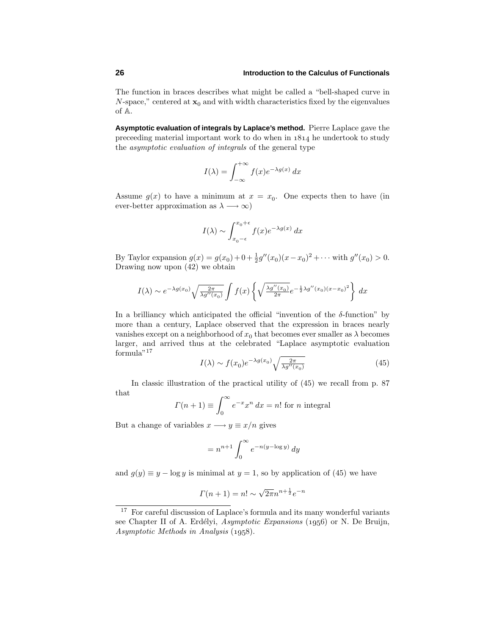The function in braces describes what might be called a "bell-shaped curve in *N*-space," centered at  $\mathbf{x}_0$  and with width characteristics fixed by the eigenvalues of A.

**Asymptotic evaluation of integrals by Laplace's method.** Pierre Laplace gave the preceeding material important work to do when in  $1814$  he undertook to study the asymptotic evaluation of integrals of the general type

$$
I(\lambda) = \int_{-\infty}^{+\infty} f(x)e^{-\lambda g(x)} dx
$$

Assume  $g(x)$  to have a minimum at  $x = x_0$ . One expects then to have (in ever-better approximation as  $\lambda \longrightarrow \infty$ )

$$
I(\lambda) \sim \int_{x_0 - \epsilon}^{x_0 + \epsilon} f(x) e^{-\lambda g(x)} dx
$$

By Taylor expansion  $g(x) = g(x_0) + 0 + \frac{1}{2}g''(x_0)(x - x_0)^2 + \cdots$  with  $g''(x_0) > 0$ . Drawing now upon (42) we obtain

$$
I(\lambda) \sim e^{-\lambda g(x_0)} \sqrt{\frac{2\pi}{\lambda g''(x_0)}} \int f(x) \left\{ \sqrt{\frac{\lambda g''(x_0)}{2\pi}} e^{-\frac{1}{2}\lambda g''(x_0)(x-x_0)^2} \right\} dx
$$

In a brilliancy which anticipated the official "invention of the *δ*-function" by more than a century, Laplace observed that the expression in braces nearly vanishes except on a neighborhood of  $x_0$  that becomes ever smaller as  $\lambda$  becomes larger, and arrived thus at the celebrated "Laplace asymptotic evaluation formula"<sup>17</sup>

$$
I(\lambda) \sim f(x_0) e^{-\lambda g(x_0)} \sqrt{\frac{2\pi}{\lambda g''(x_0)}} \tag{45}
$$

In classic illustration of the practical utility of (45) we recall from p. 87 that

$$
\Gamma(n+1) \equiv \int_0^\infty e^{-x} x^n \, dx = n! \text{ for } n \text{ integral}
$$

But a change of variables  $x \rightarrow y \equiv x/n$  gives

$$
= n^{n+1} \int_0^\infty e^{-n(y-\log y)}\, dy
$$

and  $g(y) \equiv y - \log y$  is minimal at  $y = 1$ , so by application of (45) we have

$$
\Gamma(n+1) = n! \sim \sqrt{2\pi} n^{n + \frac{1}{2}} e^{-n}
$$

<sup>&</sup>lt;sup>17</sup> For careful discussion of Laplace's formula and its many wonderful variants see Chapter II of A. Erdélyi, Asymptotic Expansions (1956) or N. De Bruijn, Asymptotic Methods in Analysis (1958).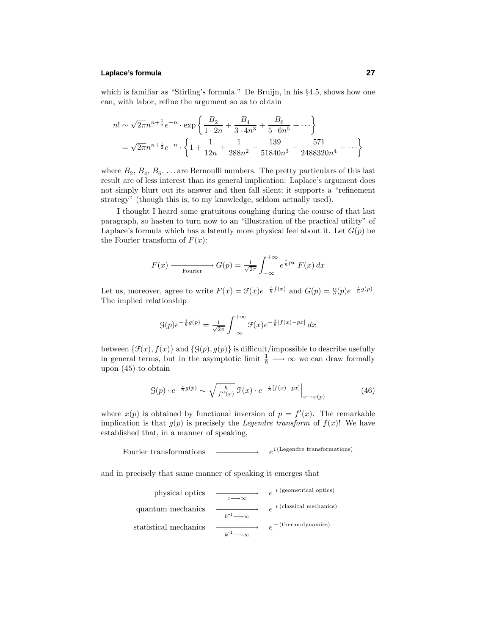### **Laplace's formula 27**

which is familiar as "Stirling's formula." De Bruijn, in his §4.5, shows how one can, with labor, refine the argument so as to obtain

$$
n! \sim \sqrt{2\pi} n^{n+\frac{1}{2}} e^{-n} \cdot \exp\left\{ \frac{B_2}{1 \cdot 2n} + \frac{B_4}{3 \cdot 4n^3} + \frac{B_6}{5 \cdot 6n^5} + \cdots \right\}
$$
  
=  $\sqrt{2\pi} n^{n+\frac{1}{2}} e^{-n} \cdot \left\{ 1 + \frac{1}{12n} + \frac{1}{288n^2} - \frac{139}{51840n^3} - \frac{571}{2488320n^4} + \cdots \right\}$ 

where  $B_2, B_4, B_6, \ldots$  are Bernoulli numbers. The pretty particulars of this last result are of less interest than its general implication: Laplace's argument does not simply blurt out its answer and then fall silent; it supports a "refinement strategy" (though this is, to my knowledge, seldom actually used).

I thought I heard some gratuitous coughing during the course of that last paragraph, so hasten to turn now to an "illustration of the practical utility" of Laplace's formula which has a latently more physical feel about it. Let  $G(p)$  be the Fourier transform of  $F(x)$ :

$$
F(x) \longrightarrow_{\text{Fourier}} G(p) = \frac{1}{\sqrt{2\pi}} \int_{-\infty}^{+\infty} e^{\frac{i}{\hbar} px} F(x) dx
$$

Let us, moreover, agree to write  $F(x) = \mathcal{F}(x)e^{-\frac{i}{\hbar}f(x)}$  and  $G(p) = \mathcal{G}(p)e^{-\frac{i}{\hbar}g(p)}$ . The implied relationship

$$
\mathcal{G}(p)e^{-\frac{i}{\hbar}g(p)} = \frac{1}{\sqrt{2\pi}} \int_{-\infty}^{+\infty} \mathcal{F}(x)e^{-\frac{i}{\hbar}[f(x)-px]} dx
$$

between  $\{\mathcal{F}(x), f(x)\}$  and  $\{G(p), g(p)\}$  is difficult/impossible to describe usefully in general terms, but in the asymptotic limit  $\frac{1}{\hbar} \longrightarrow \infty$  we can draw formally upon (45) to obtain

$$
\mathcal{G}(p) \cdot e^{-\frac{i}{\hbar}g(p)} \sim \sqrt{\frac{\hbar}{f''(x)}} \mathcal{F}(x) \cdot e^{-\frac{i}{\hbar}[f(x)-px]} \Big|_{x \to x(p)} \tag{46}
$$

where  $x(p)$  is obtained by functional inversion of  $p = f'(x)$ . The remarkable implication is that  $g(p)$  is precisely the *Legendre transform* of  $f(x)$ ! We have established that, in a manner of speaking,

Fourier transformations  $-e^{i(\text{Legendre transformations})}$ 

and in precisely that same manner of speaking it emerges that

physical optics 
$$
\xrightarrow{c \to \infty}
$$
  $e^{i \text{ (geometrical optics)}}$   
\nquantum mechanics  $\xrightarrow{h^{-1} \to \infty}$   $e^{i \text{ (classical mechanics)}}$   
\nstatistical mechanics  $\xrightarrow{h^{-1} \to \infty}$   $e^{-(\text{thermodynamics)}}$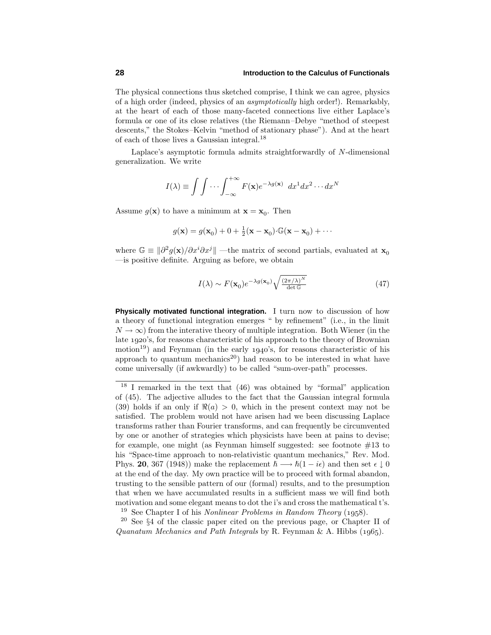The physical connections thus sketched comprise, I think we can agree, physics of a high order (indeed, physics of an asymptotically high order!). Remarkably, at the heart of each of those many-faceted connections live either Laplace's formula or one of its close relatives (the Riemann–Debye "method of steepest descents," the Stokes–Kelvin "method of stationary phase"). And at the heart of each of those lives a Gaussian integral.<sup>18</sup>

Laplace's asymptotic formula admits straightforwardly of *N*-dimensional generalization. We write

$$
I(\lambda) \equiv \int \int \cdots \int_{-\infty}^{+\infty} F(\mathbf{x}) e^{-\lambda g(\mathbf{x})} dx^1 dx^2 \cdots dx^N
$$

Assume  $g(\mathbf{x})$  to have a minimum at  $\mathbf{x} = \mathbf{x}_0$ . Then

$$
g(\mathbf{x}) = g(\mathbf{x}_0) + 0 + \frac{1}{2}(\mathbf{x} - \mathbf{x}_0) \cdot \mathbb{G}(\mathbf{x} - \mathbf{x}_0) + \cdots
$$

where  $\mathbb{G} \equiv |\partial^2 g(\mathbf{x})/\partial x^i \partial x^j|$  —the matrix of second partials, evaluated at  $\mathbf{x}_0$ —is positive definite. Arguing as before, we obtain

$$
I(\lambda) \sim F(\mathbf{x}_0) e^{-\lambda g(\mathbf{x}_0)} \sqrt{\frac{(2\pi/\lambda)^N}{\det \mathbb{G}}}
$$
 (47)

**Physically motivated functional integration.** I turn now to discussion of how a theory of functional integration emerges " by refinement" (i.e., in the limit  $N \to \infty$ ) from the interative theory of multiple integration. Both Wiener (in the late 1920's, for reasons characteristic of his approach to the theory of Brownian motion<sup>19</sup>) and Feynman (in the early  $1940$ 's, for reasons characteristic of his approach to quantum mechanics<sup>20</sup>) had reason to be interested in what have come universally (if awkwardly) to be called "sum-over-path" processes.

<sup>18</sup> I remarked in the text that (46) was obtained by "formal" application of (45). The adjective alludes to the fact that the Gaussian integral formula (39) holds if an only if  $\Re(a) > 0$ , which in the present context may not be satisfied. The problem would not have arisen had we been discussing Laplace transforms rather than Fourier transforms, and can frequently be circumvented by one or another of strategies which physicists have been at pains to devise; for example, one might (as Feynman himself suggested: see footnote  $#13$  to his "Space-time approach to non-relativistic quantum mechanics," Rev. Mod. Phys. **20**, 367 (1948)) make the replacement  $\hbar \rightarrow \hbar(1 - i\epsilon)$  and then set  $\epsilon \downarrow 0$ at the end of the day. My own practice will be to proceed with formal abandon, trusting to the sensible pattern of our (formal) results, and to the presumption that when we have accumulated results in a sufficient mass we will find both motivation and some elegant means to dot the i's and cross the mathematical t's. <sup>19</sup> See Chapter I of his *Nonlinear Problems in Random Theory* (1958).

<sup>20</sup> See §4 of the classic paper cited on the previous page, or Chapter II of Quanatum Mechanics and Path Integrals by R. Feynman & A. Hibbs  $(1965)$ .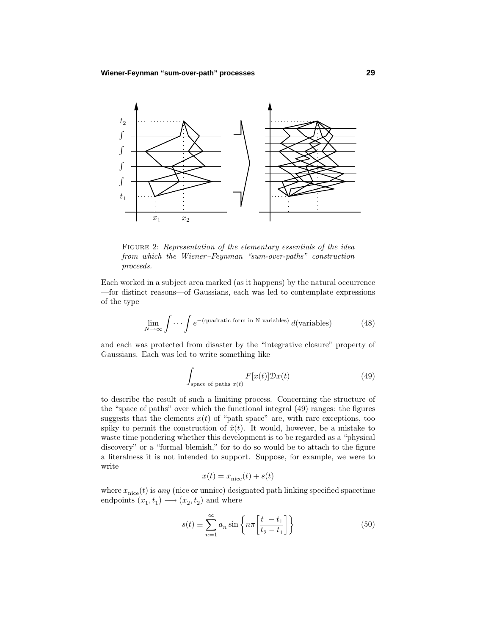

FIGURE 2: Representation of the elementary essentials of the idea from which the Wiener–Feynman "sum-over-paths" construction proceeds.

Each worked in a subject area marked (as it happens) by the natural occurrence —for distinct reasons—of Gaussians, each was led to contemplate expressions of the type

$$
\lim_{N \to \infty} \int \cdots \int e^{-(\text{quadratic form in N variables})} d(\text{variables}) \tag{48}
$$

and each was protected from disaster by the "integrative closure" property of Gaussians. Each was led to write something like

$$
\int_{\text{space of paths } x(t)} F[x(t)] \mathcal{D}x(t) \tag{49}
$$

to describe the result of such a limiting process. Concerning the structure of the "space of paths" over which the functional integral (49) ranges: the figures suggests that the elements  $x(t)$  of "path space" are, with rare exceptions, too spiky to permit the construction of  $\dot{x}(t)$ . It would, however, be a mistake to waste time pondering whether this development is to be regarded as a "physical discovery" or a "formal blemish," for to do so would be to attach to the figure a literalness it is not intended to support. Suppose, for example, we were to write

$$
x(t) = x_{\text{nice}}(t) + s(t)
$$

where  $x_{\text{nice}}(t)$  is *any* (nice or unnice) designated path linking specified spacetime endpoints  $(x_1, t_1) \longrightarrow (x_2, t_2)$  and where

$$
s(t) \equiv \sum_{n=1}^{\infty} a_n \sin \left\{ n\pi \left[ \frac{t - t_1}{t_2 - t_1} \right] \right\} \tag{50}
$$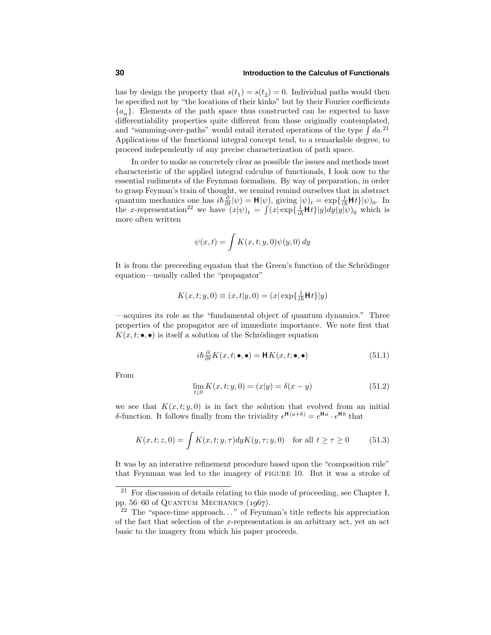has by design the property that  $s(t_1) = s(t_2) = 0$ . Individual paths would then be specified not by "the locations of their kinks" but by their Fourier coefficients  ${a_n}$ . Elements of the path space thus constructed can be expected to have differentiability properties quite different from those originally contemplated, and "summing-over-paths" would entail iterated operations of the type  $\int da$ <sup>21</sup> Applications of the functional integral concept tend, to a remarkable degree, to proceed independently of any precise characterization of path space.

In order to make as concretely clear as possible the issues and methods most characteristic of the applied integral calculus of functionals, I look now to the essential rudiments of the Feynman formalism. By way of preparation, in order to grasp Feyman's train of thought, we remind remind ourselves that in abstract quantum mechanics one has  $i\hbar \frac{\partial}{\partial t}|\psi\rangle = \mathbf{H}|\psi\rangle$ , giving  $|\psi\rangle_t = \exp\{\frac{1}{i\hbar}\mathbf{H}t\}|\psi\rangle_0$ . In the *x*-representation<sup>22</sup> we have  $(x|\psi)_t = \int (x|\exp{\{\frac{1}{i\hbar}Ht\}}y)dy(y|\psi)_0$  which is more often written

$$
\psi(x,t) = \int K(x,t;y,0)\psi(y,0) dy
$$

It is from the preceeding equaton that the Green's function of the Schrödinger equation—usually called the "propagator"

$$
K(x,t;y,0) \equiv (x,t|y,0) = (x|\exp{\{\frac{1}{i\hbar}\mathsf{H}t\}}|y)
$$

—acquires its role as the "fundamental object of quantum dynamics." Three properties of the propagator are of immediate importance. We note first that  $K(x, t; \bullet, \bullet)$  is itself a solution of the Schrödinger equation

$$
i\hbar \frac{\partial}{\partial t} K(x, t; \bullet, \bullet) = \mathbf{H} K(x, t; \bullet, \bullet)
$$
\n(51.1)

From

$$
\lim_{t \downarrow 0} K(x, t; y, 0) = (x|y) = \delta(x - y)
$$
\n(51.2)

we see that  $K(x, t; y, 0)$  is in fact the solution that evolved from an initial *δ*-function. It follows finally from the triviality  $e^{H(a+b)} = e^{Ha} \cdot e^{Hb}$  that

$$
K(x,t;z,0) = \int K(x,t;y,\tau) dy K(y,\tau;y,0) \quad \text{for all } t \ge \tau \ge 0 \tag{51.3}
$$

It was by an interative refinement procedure based upon the "composition rule" that Feynman was led to the imagery of figure 10. But it was a stroke of

 $21$  For discussion of details relating to this mode of proceeding, see Chapter I, pp. 56–60 of QUANTUM MECHANICS  $(1967)$ .

<sup>22</sup> The "space-time approach*...* " of Feynman's title reflects his appreciation of the fact that selection of the *x*-representation is an arbitrary act, yet an act basic to the imagery from which his paper proceeds.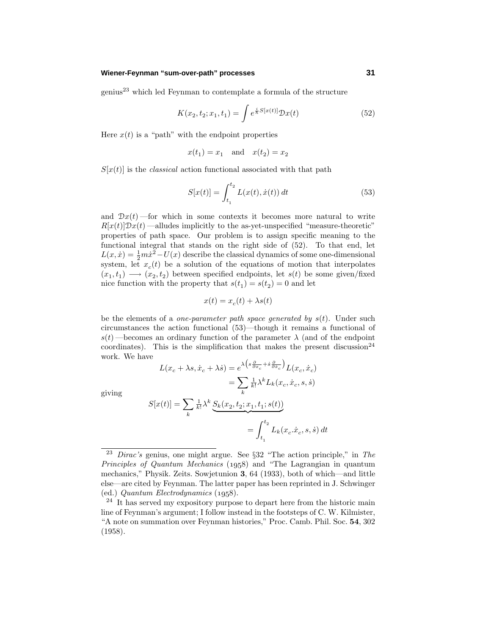### **Wiener-Feynman "sum-over-path" processes 31**

 $g$ enius<sup>23</sup> which led Feynman to contemplate a formula of the structure

$$
K(x_2, t_2; x_1, t_1) = \int e^{\frac{i}{\hbar}S[x(t)]} \mathcal{D}x(t)
$$
 (52)

Here  $x(t)$  is a "path" with the endpoint properties

$$
x(t_1) = x_1
$$
 and  $x(t_2) = x_2$ 

 $S[x(t)]$  is the *classical* action functional associated with that path

$$
S[x(t)] = \int_{t_1}^{t_2} L(x(t), \dot{x}(t)) dt
$$
 (53)

and  $\mathcal{D}x(t)$  —for which in some contexts it becomes more natural to write  $R[x(t)]\mathcal{D}x(t)$  —alludes implicitly to the as-yet-unspecified "measure-theoretic" properties of path space. Our problem is to assign specific meaning to the functional integral that stands on the right side of (52). To that end, let  $L(x, \dot{x}) = \frac{1}{2}m\dot{x}^2 - U(x)$  describe the classical dynamics of some one-dimensional system, let  $x_c(t)$  be a solution of the equations of motion that interpolates  $(x_1, t_1) \longrightarrow (x_2, t_2)$  between specified endpoints, let  $s(t)$  be some given/fixed nice function with the property that  $s(t_1) = s(t_2) = 0$  and let

$$
x(t) = x_c(t) + \lambda s(t)
$$

be the elements of a one-parameter path space generated by *s*(*t*). Under such circumstances the action functional (53)—though it remains a functional of  $s(t)$  —becomes an ordinary function of the parameter  $\lambda$  (and of the endpoint coordinates). This is the simplification that makes the present discussion<sup>24</sup> work. We have

$$
L(x_c + \lambda s, \dot{x}_c + \lambda \dot{s}) = e^{\lambda \left(s\frac{\partial}{\partial x_c} + \dot{s}\frac{\partial}{\partial \dot{x}_c}\right)} L(x_c, \dot{x}_c)
$$

$$
= \sum_k \frac{1}{k!} \lambda^k L_k(x_c, \dot{x}_c, s, \dot{s})
$$

giving

$$
S[x(t)] = \sum_{k} \frac{1}{k!} \lambda^{k} \underbrace{S_{k}(x_{2}, t_{2}; x_{1}, t_{1}; s(t))}_{= \int_{t_{1}}^{t_{2}} L_{k}(x_{c} \dot{x}_{c}, s, \dot{s}) dt}
$$

<sup>&</sup>lt;sup>23</sup> Dirac's genius, one might argue. See  $\S 32$  "The action principle," in The Principles of Quantum Mechanics  $(1958)$  and "The Lagrangian in quantum mechanics," Physik. Zeits. Sowjetunion **3**, 64 (1933), both of which—and little else—are cited by Feynman. The latter paper has been reprinted in J. Schwinger (ed.) Quantum Electrodynamics  $(1958)$ .

 $24$  It has served my expository purpose to depart here from the historic main line of Feynman's argument; I follow instead in the footsteps of C. W. Kilmister, "Anote on summation over Feynman histories," Proc. Camb. Phil. Soc. **54**, 302 (1958).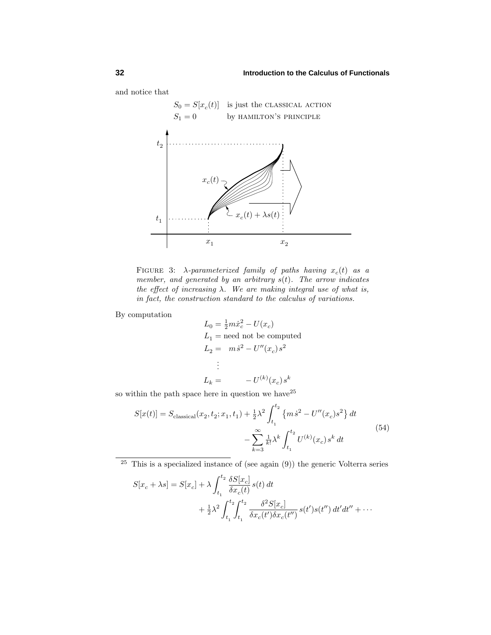and notice that



FIGURE 3:  $\lambda$ *-parameterized family of paths having*  $x_c(t)$  as a member, and generated by an arbitrary *s*(*t*). The arrow indicates the effect of increasing  $\lambda$ . We are making integral use of what is, in fact, the construction standard to the calculus of variations.

By computation

$$
L_0 = \frac{1}{2}m\dot{x}_c^2 - U(x_c)
$$
  
\n
$$
L_1 = \text{need not be computed}
$$
  
\n
$$
L_2 = m\dot{s}^2 - U''(x_c)s^2
$$
  
\n:  
\n:  
\n
$$
L_k = -U^{(k)}(x_c)s^k
$$

so within the path space here in question we have  $2^5$ 

$$
S[x(t)] = S_{\text{classical}}(x_2, t_2; x_1, t_1) + \frac{1}{2}\lambda^2 \int_{t_1}^{t_2} \{m\dot{s}^2 - U''(x_c)s^2\} dt - \sum_{k=3}^{\infty} \frac{1}{k!} \lambda^k \int_{t_1}^{t_2} U^{(k)}(x_c) s^k dt
$$
\n
$$
(54)
$$

 $25$  This is a specialized instance of (see again  $(9)$ ) the generic Volterra series

$$
S[x_c + \lambda s] = S[x_c] + \lambda \int_{t_1}^{t_2} \frac{\delta S[x_c]}{\delta x_c(t)} s(t) dt + \frac{1}{2} \lambda^2 \int_{t_1}^{t_2} \int_{t_1}^{t_2} \frac{\delta^2 S[x_c]}{\delta x_c(t') \delta x_c(t'')} s(t') s(t'') dt' dt'' + \cdots
$$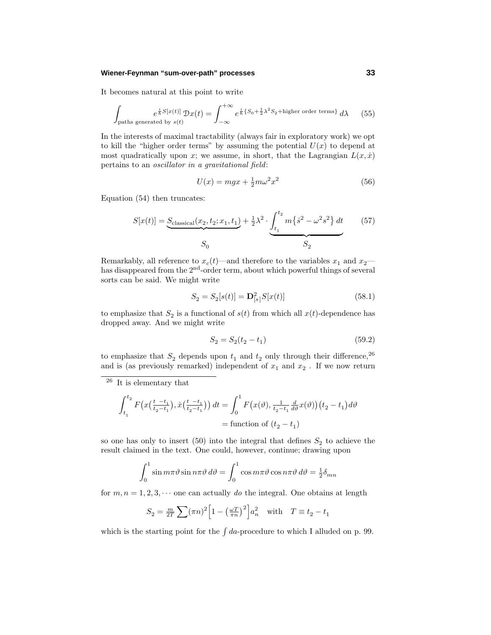### **Wiener-Feynman "sum-over-path" processes 33**

It becomes natural at this point to write

$$
\int_{\text{paths generated by } s(t)} e^{\frac{i}{\hbar}S[x(t)]} \mathcal{D}x(t) = \int_{-\infty}^{+\infty} e^{\frac{i}{\hbar}\{S_0 + \frac{1}{2}\lambda^2 S_2 + \text{higher order terms}\}} d\lambda \tag{55}
$$

In the interests of maximal tractability (always fair in exploratory work) we opt to kill the "higher order terms" by assuming the potential  $U(x)$  to depend at most quadratically upon *x*; we assume, in short, that the Lagrangian  $L(x, \dot{x})$ pertains to an oscillator in a gravitational field:

$$
U(x) = mgx + \frac{1}{2}m\omega^2 x^2\tag{56}
$$

Equation (54) then truncates:

$$
S[x(t)] = \underbrace{S_{\text{classical}}(x_2, t_2; x_1, t_1)}_{S_0} + \frac{1}{2}\lambda^2 \cdot \underbrace{\int_{t_1}^{t_2} m\{s^2 - \omega^2 s^2\} dt}_{S_2}
$$
 (57)

Remarkably, all reference to  $x_c(t)$ —and therefore to the variables  $x_1$  and  $x_2$  has disappeared from the 2<sup>nd</sup>-order term, about which powerful things of several sorts can be said. We might write

$$
S_2 = S_2[s(t)] = \mathbf{D}_{[s]}^2 S[x(t)] \tag{58.1}
$$

to emphasize that  $S_2$  is a functional of  $s(t)$  from which all  $x(t)$ -dependence has dropped away. And we might write

$$
S_2 = S_2(t_2 - t_1) \tag{59.2}
$$

to emphasize that  $S_2$  depends upon  $t_1$  and  $t_2$  only through their difference,<sup>26</sup> and is (as previously remarked) independent of  $x_1$  and  $x_2$ . If we now return

$$
\int_{t_1}^{t_2} F\left(x\left(\frac{t-t_1}{t_2-t_1}\right), \dot{x}\left(\frac{t-t_1}{t_2-t_1}\right)\right) dt = \int_0^1 F\left(x(\vartheta), \frac{1}{t_2-t_1} \frac{d}{d\vartheta} x(\vartheta)\right) \left(t_2 - t_1\right) d\vartheta
$$
\n
$$
= \text{function of } (t_2 - t_1)
$$

so one has only to insert (50) into the integral that defines  $S_2$  to achieve the result claimed in the text. One could, however, continue; drawing upon

$$
\int_0^1 \sin m\pi \vartheta \sin n\pi \vartheta d\vartheta = \int_0^1 \cos m\pi \vartheta \cos n\pi \vartheta d\vartheta = \frac{1}{2}\delta_{mn}
$$

for  $m, n = 1, 2, 3, \cdots$  one can actually do the integral. One obtains at length

$$
S_2 = \frac{m}{2T} \sum (\pi n)^2 \left[ 1 - \left(\frac{\omega T}{\pi n}\right)^2 \right] a_n^2 \quad \text{with} \quad T \equiv t_2 - t_1
$$

which is the starting point for the  $\int da$ -procedure to which I alluded on p. 99.

<sup>26</sup> It is elementary that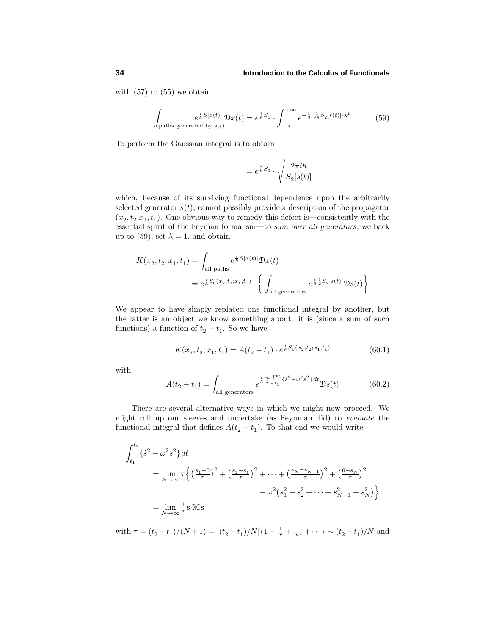with (57) to (55) we obtain

$$
\int_{\text{paths generated by } s(t)} e^{\frac{i}{\hbar}S[x(t)]} \mathcal{D}x(t) = e^{\frac{i}{\hbar}S_0} \cdot \int_{-\infty}^{+\infty} e^{-\frac{1}{2} \cdot \frac{1}{i\hbar}S_2[s(t)] \cdot \lambda^2} \tag{59}
$$

To perform the Gaussian integral is to obtain

$$
= e^{\frac{i}{\hbar}S_0} \cdot \sqrt{\frac{2\pi i\hbar}{S_2[s(t)]}}
$$

which, because of its surviving functional dependence upon the arbitrarily selected generator  $s(t)$ , cannot possibly provide a description of the propagator  $(x_2, t_2|x_1, t_1)$ . One obvious way to remedy this defect is—consistently with the essential spirit of the Feyman formalism—to sum over all generators; we back up to (59), set  $\lambda = 1$ , and obtain

$$
K(x_2, t_2; x_1, t_1) = \int_{\text{all paths}} e^{\frac{i}{\hbar}S[x(t)]} \mathcal{D}x(t)
$$
  
=  $e^{\frac{i}{\hbar}S_0(x_2, t_2; x_1, t_1)} \cdot \left\{ \int_{\text{all generators}} e^{\frac{i}{\hbar} \frac{1}{2} S_2[s(t)]} \mathcal{D}s(t) \right\}$ 

We appear to have simply replaced one functional integral by another, but the latter is an object we know something about: it is (since a sum of such functions) a function of  $t_2 - t_1$ . So we have

$$
K(x_2, t_2; x_1, t_1) = A(t_2 - t_1) \cdot e^{\frac{i}{\hbar} S_0(x_2, t_2; x_1, t_1)}
$$
(60.1)

with

$$
A(t_2 - t_1) = \int_{\text{all generators}} e^{\frac{i}{\hbar} \frac{m}{2} \int_{t_1}^{t_2} \{\dot{s}^2 - \omega^2 s^2\} dt} \mathcal{D}s(t)
$$
(60.2)

There are several alternative ways in which we might now proceed. We might roll up our sleeves and undertake (as Feynman did) to evaluate the functional integral that defines  $A(t_2 - t_1)$ . To that end we would write

$$
\int_{t_1}^{t_2} {\{\dot{s}^2 - \omega^2 s^2\}} dt
$$
  
=  $\lim_{N \to \infty} \tau \left\{ \left(\frac{s_1 - 0}{\tau}\right)^2 + \left(\frac{s_2 - s_1}{\tau}\right)^2 + \dots + \left(\frac{s_N - s_{N-1}}{\tau}\right)^2 + \left(\frac{0 - s_N}{\tau}\right)^2 - \omega^2 \left(s_1^2 + s_2^2 + \dots + s_{N-1}^2 + s_N^2\right) \right\}$   
=  $\lim_{N \to \infty} \frac{1}{\tau} \mathbf{s} \cdot \mathbf{M} \mathbf{s}$ 

with  $\tau = (t_2 - t_1)/(N+1) = [(t_2 - t_1)/N] \{1 - \frac{1}{N} + \frac{1}{N^2} + \cdots\} \sim (t_2 - t_1)/N$  and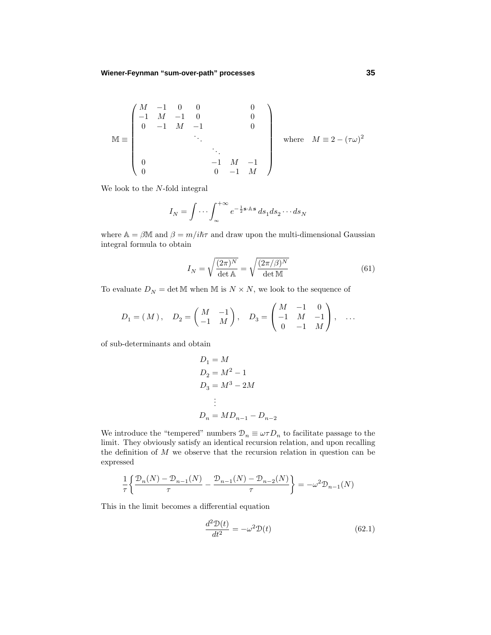$$
\mathbb{M} \equiv \begin{pmatrix} M & -1 & 0 & 0 & 0 \\ -1 & M & -1 & 0 & 0 \\ 0 & -1 & M & -1 & 0 \\ & & \ddots & & \\ 0 & & & -1 & M & -1 \\ 0 & & & 0 & -1 & M \end{pmatrix} \quad \text{where} \quad M \equiv 2 - (\tau \omega)^2
$$

We look to the *N*-fold integral

$$
I_N = \int \cdots \int_{-\infty}^{+\infty} e^{-\frac{1}{2}\mathbf{s} \cdot \mathbb{A} \cdot \mathbf{s}} ds_1 ds_2 \cdots ds_N
$$

where  $A = \beta M$  and  $\beta = m/i\hslash\tau$  and draw upon the multi-dimensional Gaussian integral formula to obtain

$$
I_N = \sqrt{\frac{(2\pi)^N}{\det \mathbf{A}}} = \sqrt{\frac{(2\pi/\beta)^N}{\det \mathbf{M}}}
$$
(61)

To evaluate  $D_N=\det \mathbb{M}$  when  $\mathbb{M}$  is  $N\times N,$  we look to the sequence of

$$
D_1 = (M), \quad D_2 = \begin{pmatrix} M & -1 \\ -1 & M \end{pmatrix}, \quad D_3 = \begin{pmatrix} M & -1 & 0 \\ -1 & M & -1 \\ 0 & -1 & M \end{pmatrix}, \quad \dots
$$

of sub-determinants and obtain

$$
D_1 = M
$$
  
\n
$$
D_2 = M^2 - 1
$$
  
\n
$$
D_3 = M^3 - 2M
$$
  
\n:  
\n
$$
D_n = M D_{n-1} - D_{n-2}
$$

We introduce the "tempered" numbers  $\mathcal{D}_n \equiv \omega \tau D_n$  to facilitate passage to the limit. They obviously satisfy an identical recursion relation, and upon recalling the definition of *M* we observe that the recursion relation in question can be expressed

$$
\frac{1}{\tau} \left\{ \frac{\mathcal{D}_n(N) - \mathcal{D}_{n-1}(N)}{\tau} - \frac{\mathcal{D}_{n-1}(N) - \mathcal{D}_{n-2}(N)}{\tau} \right\} = -\omega^2 \mathcal{D}_{n-1}(N)
$$

This in the limit becomes a differential equation

$$
\frac{d^2\mathcal{D}(t)}{dt^2} = -\omega^2 \mathcal{D}(t) \tag{62.1}
$$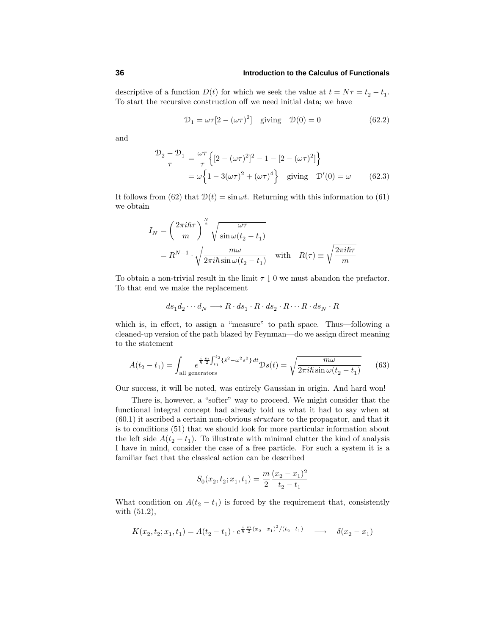descriptive of a function  $D(t)$  for which we seek the value at  $t = N\tau = t_2 - t_1$ . To start the recursive construction off we need initial data; we have

$$
\mathcal{D}_1 = \omega \tau [2 - (\omega \tau)^2] \quad \text{giving} \quad \mathcal{D}(0) = 0 \tag{62.2}
$$

and

$$
\frac{\mathcal{D}_2 - \mathcal{D}_1}{\tau} = \frac{\omega \tau}{\tau} \left\{ [2 - (\omega \tau)^2]^2 - 1 - [2 - (\omega \tau)^2] \right\}
$$

$$
= \omega \left\{ 1 - 3(\omega \tau)^2 + (\omega \tau)^4 \right\} \text{ giving } \mathcal{D}'(0) = \omega \qquad (62.3)
$$

It follows from (62) that  $D(t) = \sin \omega t$ . Returning with this information to (61) we obtain

$$
I_N = \left(\frac{2\pi i\hbar\tau}{m}\right)^{\frac{N}{2}} \sqrt{\frac{\omega\tau}{\sin\omega(t_2 - t_1)}}
$$
  
=  $R^{N+1} \cdot \sqrt{\frac{m\omega}{2\pi i\hbar \sin\omega(t_2 - t_1)}}$  with  $R(\tau) \equiv \sqrt{\frac{2\pi i\hbar\tau}{m}}$ 

To obtain a non-trivial result in the limit  $\tau \downarrow 0$  we must abandon the prefactor. To that end we make the replacement

$$
ds_1 d_2 \cdots d_N \longrightarrow R \cdot ds_1 \cdot R \cdot ds_2 \cdot R \cdots R \cdot ds_N \cdot R
$$

which is, in effect, to assign a "measure" to path space. Thus—following a cleaned-up version of the path blazed by Feynman—do we assign direct meaning to the statement

$$
A(t_2 - t_1) = \int_{\text{all generators}} e^{\frac{i}{\hbar} \frac{m}{2} \int_{t_1}^{t_2} \{s^2 - \omega^2 s^2\} dt} \mathcal{D}s(t) = \sqrt{\frac{m\omega}{2\pi i \hbar \sin \omega (t_2 - t_1)}} \tag{63}
$$

Our success, it will be noted, was entirely Gaussian in origin. And hard won!

There is, however, a "softer" way to proceed. We might consider that the functional integral concept had already told us what it had to say when at  $(60.1)$  it ascribed a certain non-obvious *structure* to the propagator, and that it is to conditions (51) that we should look for more particular information about the left side  $A(t_2 - t_1)$ . To illustrate with minimal clutter the kind of analysis I have in mind, consider the case of a free particle. For such a system it is a familiar fact that the classical action can be described

$$
S_0(x_2, t_2; x_1, t_1) = \frac{m}{2} \frac{(x_2 - x_1)^2}{t_2 - t_1}
$$

What condition on  $A(t_2 - t_1)$  is forced by the requirement that, consistently with (51.2),

$$
K(x_2, t_2; x_1, t_1) = A(t_2 - t_1) \cdot e^{\frac{i}{\hbar} \frac{m}{2} (x_2 - x_1)^2 / (t_2 - t_1)} \longrightarrow \delta(x_2 - x_1)
$$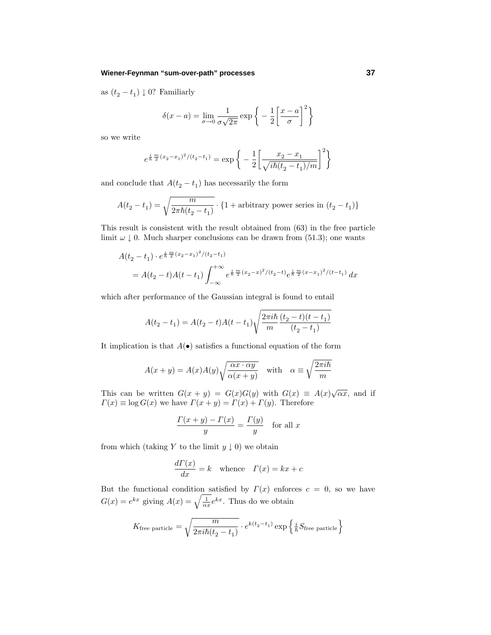### **Wiener-Feynman "sum-over-path" processes 37**

as  $(t_2 - t_1) \downarrow 0$ ? Familiarly

$$
\delta(x-a) = \lim_{\sigma \to 0} \frac{1}{\sigma \sqrt{2\pi}} \exp\left\{-\frac{1}{2} \left[\frac{x-a}{\sigma}\right]^2\right\}
$$

so we write

$$
e^{\frac{i}{\hbar}\frac{m}{2}(x_2 - x_1)^2/(t_2 - t_1)} = \exp\bigg\{-\frac{1}{2}\bigg[\frac{x_2 - x_1}{\sqrt{i\hbar(t_2 - t_1)/m}}\bigg]^2\bigg\}
$$

and conclude that  $A(t_{2}-t_{1})$  has necessarily the form

$$
A(t_2 - t_1) = \sqrt{\frac{m}{2\pi\hbar(t_2 - t_1)}} \cdot \{1 + \text{arbitrary power series in } (t_2 - t_1)\}
$$

This result is consistent with the result obtained from (63) in the free particle limit  $\omega \downarrow 0$ . Much sharper conclusions can be drawn from (51.3); one wants

$$
A(t_2 - t_1) \cdot e^{\frac{i}{\hbar} \frac{m}{2}(x_2 - x_1)^2 / (t_2 - t_1)}
$$
  
=  $A(t_2 - t)A(t - t_1) \int_{-\infty}^{+\infty} e^{\frac{i}{\hbar} \frac{m}{2}(x_2 - x)^2 / (t_2 - t)} e^{\frac{i}{\hbar} \frac{m}{2}(x - x_1)^2 / (t - t_1)} dx$ 

which after performance of the Gaussian integral is found to entail

$$
A(t_2 - t_1) = A(t_2 - t)A(t - t_1)\sqrt{\frac{2\pi i\hbar}{m}\frac{(t_2 - t)(t - t_1)}{(t_2 - t_1)}}
$$

It implication is that  $A(\bullet)$  satisfies a functional equation of the form

$$
A(x + y) = A(x)A(y)\sqrt{\frac{\alpha x \cdot \alpha y}{\alpha(x + y)}} \quad \text{with} \quad \alpha \equiv \sqrt{\frac{2\pi i\hbar}{m}}
$$

This can be written  $G(x + y) = G(x)G(y)$  with  $G(x) \equiv A(x)\sqrt{\alpha x}$ , and if  $\Gamma(x) \equiv \log G(x)$  we have  $\Gamma(x + y) = \Gamma(x) + \Gamma(y)$ . Therefore

$$
\frac{\Gamma(x+y) - \Gamma(x)}{y} = \frac{\Gamma(y)}{y} \quad \text{for all } x
$$

from which (taking *Y* to the limit  $y \downarrow 0$ ) we obtain

$$
\frac{d\Gamma(x)}{dx} = k \quad \text{whence} \quad \Gamma(x) = kx + c
$$

But the functional condition satisfied by  $\Gamma(x)$  enforces  $c = 0$ , so we have  $G(x) = e^{kx}$  giving  $A(x) = \sqrt{\frac{1}{\alpha x}} e^{kx}$ . Thus do we obtain

$$
K_{\text{free particle}} = \sqrt{\frac{m}{2\pi i\hbar (t_2 - t_1)}} \cdot e^{k(t_2 - t_1)} \exp\left\{\frac{i}{\hbar} S_{\text{free particle}}\right\}
$$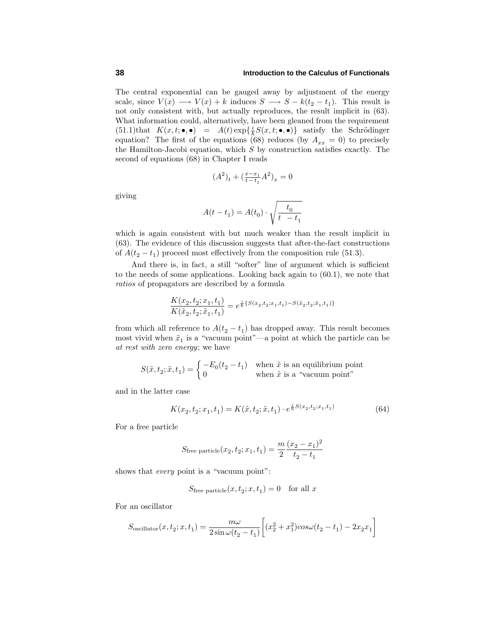The central exponential can be gauged away by adjustment of the energy scale, since  $V(x) \longrightarrow V(x) + k$  induces  $S \longrightarrow S - k(t_2 - t_1)$ . This result is not only consistent with, but actually reproduces, the result implicit in (63). What information could, alternatively, have been gleaned from the requirement (51.1)that  $K(x,t; \bullet, \bullet) = A(t) \exp\{\frac{i}{\hbar} S(x,t; \bullet, \bullet)\}$  satisfy the Schrödinger equation? The first of the equations (68) reduces (by  $A_{xx} = 0$ ) to precisely the Hamilton-Jacobi equation, which *S* by construction satisfies exactly. The second of equations (68) in Chapter I reads

$$
(A^2)_t + (\tfrac{x-x_1}{t-t_1}A^2)_x = 0
$$

giving

$$
A(t - t_1) = A(t_0) \cdot \sqrt{\frac{t_0}{t - t_1}}
$$

which is again consistent with but much weaker than the result implicit in (63). The evidence of this discussion suggests that after-the-fact constructions of  $A(t_2 - t_1)$  proceed most effectively from the composition rule (51.3).

And there is, in fact, a still "softer" line of argument which is sufficient to the needs of some applications. Looking back again to (60.1), we note that ratios of propagators are described by a formula

$$
\frac{K(x_2, t_2; x_1, t_1)}{K(\tilde{x}_2, t_2; \tilde{x}_1, t_1)} = e^{\frac{i}{\hbar} \{S(x_2, t_2; x_1, t_1) - S(\tilde{x}_2, t_2; \tilde{x}_1, t_1)\}}
$$

from which all reference to  $A(t_2 - t_1)$  has dropped away. This result becomes most vivid when  $\tilde{x}_1$  is a "vacuum point"—a point at which the particle can be at rest with zero energy; we have

$$
S(\tilde{x}, t_2; \tilde{x}, t_1) = \begin{cases} -E_0(t_2 - t_1) & \text{when } \tilde{x} \text{ is an equilibrium point} \\ 0 & \text{when } \tilde{x} \text{ is a "vacuum point"} \end{cases}
$$

and in the latter case

$$
K(x_2, t_2; x_1, t_1) = K(\tilde{x}, t_2; \tilde{x}, t_1) \cdot e^{\frac{i}{\hbar}S(x_2, t_2; x_1, t_1)}\tag{64}
$$

For a free particle

$$
S_{\text{free particle}}(x_2, t_2; x_1, t_1) = \frac{m}{2} \frac{(x_2 - x_1)^2}{t_2 - t_1}
$$

shows that *every* point is a "vacuum point":

$$
S_{\text{free particle}}(x, t_2; x, t_1) = 0 \quad \text{for all } x
$$

For an oscillator

$$
S_{\text{oscillator}}(x, t_2; x, t_1) = \frac{m\omega}{2\sin\omega(t_2 - t_1)} \bigg[ (x_2^2 + x_1^2) \cos\omega(t_2 - t_1) - 2x_2 x_1 \bigg]
$$